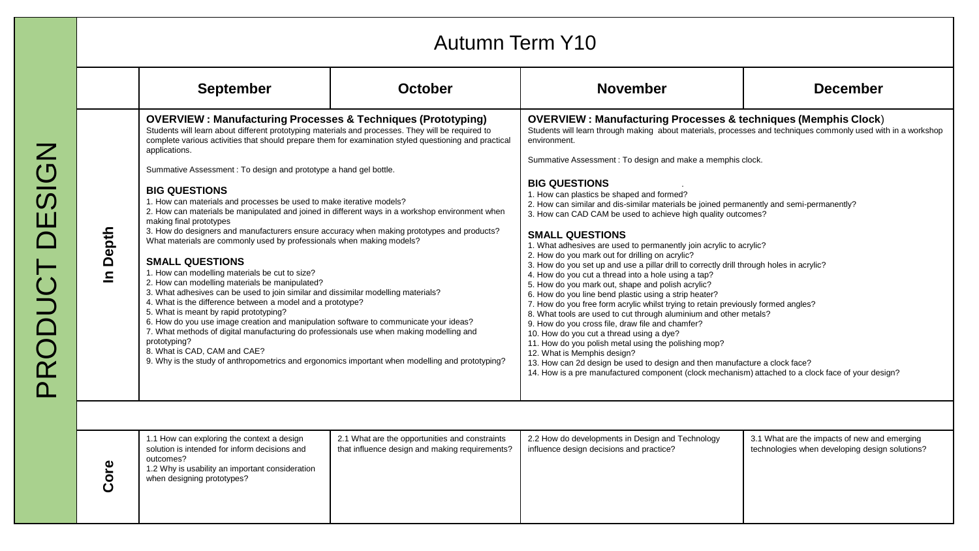|                                                                                                                                                                                                                                                                                                                                                                                                                                                                                                                                                                                                                                                                                                                                                                                                                                                                                                                                                                                                                                                                                                                                                                                                                                                                                                                                                                                                                                                               | <b>September</b>                                                                                                                                                                          | <b>October</b>                                                                                                                                                                                                                                                                                                                                                                                                                                                                                                                                                                                                                                                                                                                                                                                                                                                                                                                                                                                                                                                                                                                                                                                                                                                                                                                                                                                                                                                     | <b>November</b>                                                                              | <b>December</b>                                                                                |
|---------------------------------------------------------------------------------------------------------------------------------------------------------------------------------------------------------------------------------------------------------------------------------------------------------------------------------------------------------------------------------------------------------------------------------------------------------------------------------------------------------------------------------------------------------------------------------------------------------------------------------------------------------------------------------------------------------------------------------------------------------------------------------------------------------------------------------------------------------------------------------------------------------------------------------------------------------------------------------------------------------------------------------------------------------------------------------------------------------------------------------------------------------------------------------------------------------------------------------------------------------------------------------------------------------------------------------------------------------------------------------------------------------------------------------------------------------------|-------------------------------------------------------------------------------------------------------------------------------------------------------------------------------------------|--------------------------------------------------------------------------------------------------------------------------------------------------------------------------------------------------------------------------------------------------------------------------------------------------------------------------------------------------------------------------------------------------------------------------------------------------------------------------------------------------------------------------------------------------------------------------------------------------------------------------------------------------------------------------------------------------------------------------------------------------------------------------------------------------------------------------------------------------------------------------------------------------------------------------------------------------------------------------------------------------------------------------------------------------------------------------------------------------------------------------------------------------------------------------------------------------------------------------------------------------------------------------------------------------------------------------------------------------------------------------------------------------------------------------------------------------------------------|----------------------------------------------------------------------------------------------|------------------------------------------------------------------------------------------------|
| <b>OVERVIEW: Manufacturing Processes &amp; Techniques (Prototyping)</b><br>Students will learn about different prototyping materials and processes. They will be required to<br>complete various activities that should prepare them for examination styled questioning and practical<br>applications.<br>Summative Assessment: To design and prototype a hand gel bottle.<br><b>BIG QUESTIONS</b><br>1. How can materials and processes be used to make iterative models?<br>2. How can materials be manipulated and joined in different ways in a workshop environment when<br>making final prototypes<br>In Depth<br>3. How do designers and manufacturers ensure accuracy when making prototypes and products?<br>What materials are commonly used by professionals when making models?<br><b>SMALL QUESTIONS</b><br>1. How can modelling materials be cut to size?<br>2. How can modelling materials be manipulated?<br>3. What adhesives can be used to join similar and dissimilar modelling materials?<br>4. What is the difference between a model and a prototype?<br>5. What is meant by rapid prototyping?<br>6. How do you use image creation and manipulation software to communicate your ideas?<br>7. What methods of digital manufacturing do professionals use when making modelling and<br>prototyping?<br>8. What is CAD, CAM and CAE?<br>9. Why is the study of anthropometrics and ergonomics important when modelling and prototyping? |                                                                                                                                                                                           | <b>OVERVIEW: Manufacturing Processes &amp; techniques (Memphis Clock)</b><br>Students will learn through making about materials, processes and techniques commonly used with in a workshop<br>environment.<br>Summative Assessment : To design and make a memphis clock.<br><b>BIG QUESTIONS</b><br>1. How can plastics be shaped and formed?<br>2. How can similar and dis-similar materials be joined permanently and semi-permanently?<br>3. How can CAD CAM be used to achieve high quality outcomes?<br><b>SMALL QUESTIONS</b><br>1. What adhesives are used to permanently join acrylic to acrylic?<br>2. How do you mark out for drilling on acrylic?<br>3. How do you set up and use a pillar drill to correctly drill through holes in acrylic?<br>4. How do you cut a thread into a hole using a tap?<br>5. How do you mark out, shape and polish acrylic?<br>6. How do you line bend plastic using a strip heater?<br>7. How do you free form acrylic whilst trying to retain previously formed angles?<br>8. What tools are used to cut through aluminium and other metals?<br>9. How do you cross file, draw file and chamfer?<br>10. How do you cut a thread using a dye?<br>11. How do you polish metal using the polishing mop?<br>12. What is Memphis design?<br>13. How can 2d design be used to design and then manufacture a clock face?<br>14. How is a pre manufactured component (clock mechanism) attached to a clock face of your design? |                                                                                              |                                                                                                |
| Core                                                                                                                                                                                                                                                                                                                                                                                                                                                                                                                                                                                                                                                                                                                                                                                                                                                                                                                                                                                                                                                                                                                                                                                                                                                                                                                                                                                                                                                          | 1.1 How can exploring the context a design<br>solution is intended for inform decisions and<br>outcomes?<br>1.2 Why is usability an important consideration<br>when designing prototypes? | 2.1 What are the opportunities and constraints<br>that influence design and making requirements?                                                                                                                                                                                                                                                                                                                                                                                                                                                                                                                                                                                                                                                                                                                                                                                                                                                                                                                                                                                                                                                                                                                                                                                                                                                                                                                                                                   | 2.2 How do developments in Design and Technology<br>influence design decisions and practice? | 3.1 What are the impacts of new and emerging<br>technologies when developing design solutions? |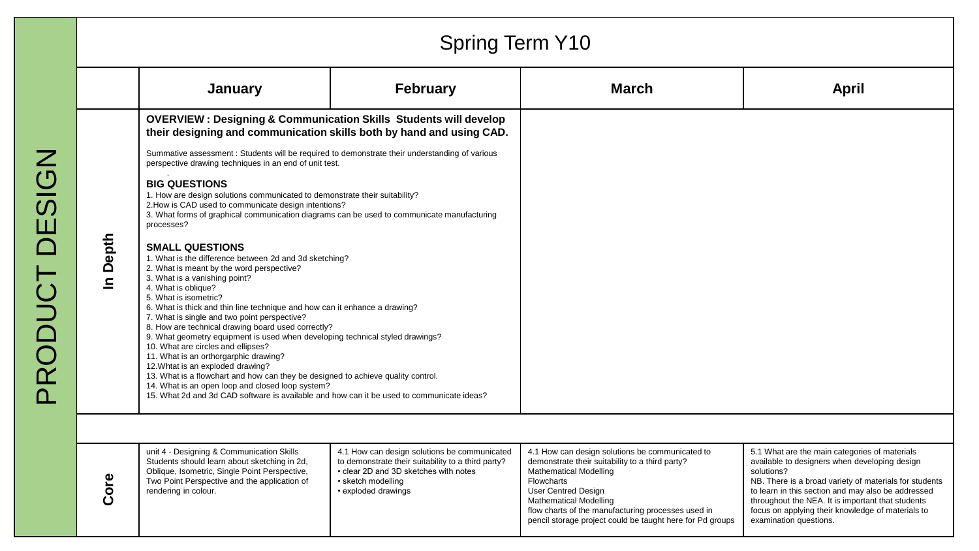|                                                                                           |                       |                                                                                                                                                                                                                                                                                                                                                                                                                                                                                                                                                                                                                                                                                                                                                                                                                                              | <b>Spring Term Y10</b>                                                                                                                                                                   |                                                                                                                                                                                                                                                                                                                                     |                                                                                                                                                                                                                                                                                                                                                                  |
|-------------------------------------------------------------------------------------------|-----------------------|----------------------------------------------------------------------------------------------------------------------------------------------------------------------------------------------------------------------------------------------------------------------------------------------------------------------------------------------------------------------------------------------------------------------------------------------------------------------------------------------------------------------------------------------------------------------------------------------------------------------------------------------------------------------------------------------------------------------------------------------------------------------------------------------------------------------------------------------|------------------------------------------------------------------------------------------------------------------------------------------------------------------------------------------|-------------------------------------------------------------------------------------------------------------------------------------------------------------------------------------------------------------------------------------------------------------------------------------------------------------------------------------|------------------------------------------------------------------------------------------------------------------------------------------------------------------------------------------------------------------------------------------------------------------------------------------------------------------------------------------------------------------|
|                                                                                           |                       | January                                                                                                                                                                                                                                                                                                                                                                                                                                                                                                                                                                                                                                                                                                                                                                                                                                      | <b>February</b>                                                                                                                                                                          | <b>March</b>                                                                                                                                                                                                                                                                                                                        | <b>April</b>                                                                                                                                                                                                                                                                                                                                                     |
| Z<br>$\underline{\overline{\mathbf{O}}}$<br>$\overline{\bm{\omega}}$<br>Ш<br><b>COUCT</b> |                       | <b>OVERVIEW: Designing &amp; Communication Skills Students will develop</b><br>their designing and communication skills both by hand and using CAD.                                                                                                                                                                                                                                                                                                                                                                                                                                                                                                                                                                                                                                                                                          |                                                                                                                                                                                          |                                                                                                                                                                                                                                                                                                                                     |                                                                                                                                                                                                                                                                                                                                                                  |
|                                                                                           |                       | Summative assessment : Students will be required to demonstrate their understanding of various<br>perspective drawing techniques in an end of unit test.                                                                                                                                                                                                                                                                                                                                                                                                                                                                                                                                                                                                                                                                                     |                                                                                                                                                                                          |                                                                                                                                                                                                                                                                                                                                     |                                                                                                                                                                                                                                                                                                                                                                  |
|                                                                                           |                       | <b>BIG QUESTIONS</b><br>1. How are design solutions communicated to demonstrate their suitability?<br>2. How is CAD used to communicate design intentions?<br>3. What forms of graphical communication diagrams can be used to communicate manufacturing<br>processes?                                                                                                                                                                                                                                                                                                                                                                                                                                                                                                                                                                       |                                                                                                                                                                                          |                                                                                                                                                                                                                                                                                                                                     |                                                                                                                                                                                                                                                                                                                                                                  |
|                                                                                           | Depth<br>$\mathbf{a}$ | <b>SMALL QUESTIONS</b><br>1. What is the difference between 2d and 3d sketching?<br>2. What is meant by the word perspective?<br>3. What is a vanishing point?<br>4. What is oblique?<br>5. What is isometric?<br>6. What is thick and thin line technique and how can it enhance a drawing?<br>7. What is single and two point perspective?<br>8. How are technical drawing board used correctly?<br>9. What geometry equipment is used when developing technical styled drawings?<br>10. What are circles and ellipses?<br>11. What is an orthorgarphic drawing?<br>12. Whtat is an exploded drawing?<br>13. What is a flowchart and how can they be designed to achieve quality control.<br>14. What is an open loop and closed loop system?<br>15. What 2d and 3d CAD software is available and how can it be used to communicate ideas? |                                                                                                                                                                                          |                                                                                                                                                                                                                                                                                                                                     |                                                                                                                                                                                                                                                                                                                                                                  |
|                                                                                           |                       |                                                                                                                                                                                                                                                                                                                                                                                                                                                                                                                                                                                                                                                                                                                                                                                                                                              |                                                                                                                                                                                          |                                                                                                                                                                                                                                                                                                                                     |                                                                                                                                                                                                                                                                                                                                                                  |
|                                                                                           | Core                  | unit 4 - Designing & Communication Skills<br>Students should learn about sketching in 2d,<br>Oblique, Isometric, Single Point Perspective,<br>Two Point Perspective and the application of<br>rendering in colour.                                                                                                                                                                                                                                                                                                                                                                                                                                                                                                                                                                                                                           | 4.1 How can design solutions be communicated<br>to demonstrate their suitability to a third party?<br>• clear 2D and 3D sketches with notes<br>• sketch modelling<br>• exploded drawings | 4.1 How can design solutions be communicated to<br>demonstrate their suitability to a third party?<br><b>Mathematical Modelling</b><br>Flowcharts<br><b>User Centred Design</b><br><b>Mathematical Modelling</b><br>flow charts of the manufacturing processes used in<br>pencil storage project could be taught here for Pd groups | 5.1 What are the main categories of materials<br>available to designers when developing design<br>solutions?<br>NB. There is a broad variety of materials for students<br>to learn in this section and may also be addressed<br>throughout the NEA. It is important that students<br>focus on applying their knowledge of materials to<br>examination questions. |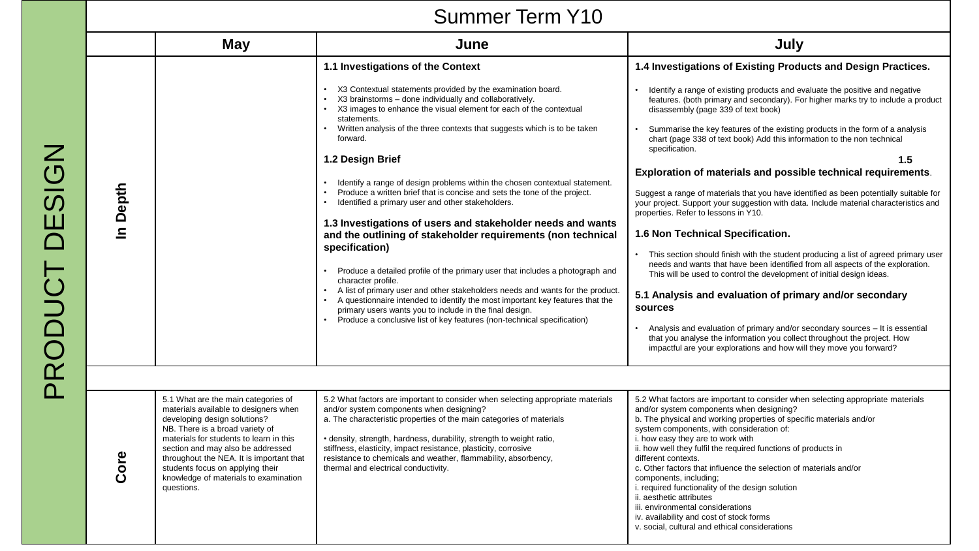|  | <b>Summer Term Y10</b> |  |  |
|--|------------------------|--|--|
|--|------------------------|--|--|

|          | <b>May</b>                                                                                                                                                                                                                                                                                                                                                             | June                                                                                                                                                                                                                                                                                                                                                                                                                                                                                                                                                                                                                                                                                                                                                                                                                                                                                                                                                                                                                                                                                                                                                           | July                                                                                                                                                                                                                                                                                                                                                                                                                                                                                                                                                                                                                                                                                                                                                                                                                                                                                                                                                                                                                                                                                                                                                                                                                                                                                                                                                       |  |  |  |
|----------|------------------------------------------------------------------------------------------------------------------------------------------------------------------------------------------------------------------------------------------------------------------------------------------------------------------------------------------------------------------------|----------------------------------------------------------------------------------------------------------------------------------------------------------------------------------------------------------------------------------------------------------------------------------------------------------------------------------------------------------------------------------------------------------------------------------------------------------------------------------------------------------------------------------------------------------------------------------------------------------------------------------------------------------------------------------------------------------------------------------------------------------------------------------------------------------------------------------------------------------------------------------------------------------------------------------------------------------------------------------------------------------------------------------------------------------------------------------------------------------------------------------------------------------------|------------------------------------------------------------------------------------------------------------------------------------------------------------------------------------------------------------------------------------------------------------------------------------------------------------------------------------------------------------------------------------------------------------------------------------------------------------------------------------------------------------------------------------------------------------------------------------------------------------------------------------------------------------------------------------------------------------------------------------------------------------------------------------------------------------------------------------------------------------------------------------------------------------------------------------------------------------------------------------------------------------------------------------------------------------------------------------------------------------------------------------------------------------------------------------------------------------------------------------------------------------------------------------------------------------------------------------------------------------|--|--|--|
| In Depth |                                                                                                                                                                                                                                                                                                                                                                        | 1.1 Investigations of the Context<br>• X3 Contextual statements provided by the examination board.<br>X3 brainstorms - done individually and collaboratively.<br>X3 images to enhance the visual element for each of the contextual<br>statements.<br>Written analysis of the three contexts that suggests which is to be taken<br>forward.<br>1.2 Design Brief<br>Identify a range of design problems within the chosen contextual statement.<br>Produce a written brief that is concise and sets the tone of the project.<br>Identified a primary user and other stakeholders.<br>$\bullet$<br>1.3 Investigations of users and stakeholder needs and wants<br>and the outlining of stakeholder requirements (non technical<br>specification)<br>Produce a detailed profile of the primary user that includes a photograph and<br>character profile.<br>A list of primary user and other stakeholders needs and wants for the product.<br>A questionnaire intended to identify the most important key features that the<br>primary users wants you to include in the final design.<br>Produce a conclusive list of key features (non-technical specification) | 1.4 Investigations of Existing Products and Design Practices.<br>Identify a range of existing products and evaluate the positive and negative<br>features. (both primary and secondary). For higher marks try to include a product<br>disassembly (page 339 of text book)<br>Summarise the key features of the existing products in the form of a analysis<br>chart (page 338 of text book) Add this information to the non technical<br>specification.<br>1.5<br>Exploration of materials and possible technical requirements.<br>Suggest a range of materials that you have identified as been potentially suitable for<br>your project. Support your suggestion with data. Include material characteristics and<br>properties. Refer to lessons in Y10.<br>1.6 Non Technical Specification.<br>This section should finish with the student producing a list of agreed primary user<br>needs and wants that have been identified from all aspects of the exploration.<br>This will be used to control the development of initial design ideas.<br>5.1 Analysis and evaluation of primary and/or secondary<br>sources<br>Analysis and evaluation of primary and/or secondary sources – It is essential<br>that you analyse the information you collect throughout the project. How<br>impactful are your explorations and how will they move you forward? |  |  |  |
|          |                                                                                                                                                                                                                                                                                                                                                                        |                                                                                                                                                                                                                                                                                                                                                                                                                                                                                                                                                                                                                                                                                                                                                                                                                                                                                                                                                                                                                                                                                                                                                                |                                                                                                                                                                                                                                                                                                                                                                                                                                                                                                                                                                                                                                                                                                                                                                                                                                                                                                                                                                                                                                                                                                                                                                                                                                                                                                                                                            |  |  |  |
| Core     | 5.1 What are the main categories of<br>materials available to designers when<br>developing design solutions?<br>NB. There is a broad variety of<br>materials for students to learn in this<br>section and may also be addressed<br>throughout the NEA. It is important that<br>students focus on applying their<br>knowledge of materials to examination<br>questions. | 5.2 What factors are important to consider when selecting appropriate materials<br>and/or system components when designing?<br>a. The characteristic properties of the main categories of materials<br>• density, strength, hardness, durability, strength to weight ratio,<br>stiffness, elasticity, impact resistance, plasticity, corrosive<br>resistance to chemicals and weather, flammability, absorbency,<br>thermal and electrical conductivity.                                                                                                                                                                                                                                                                                                                                                                                                                                                                                                                                                                                                                                                                                                       | 5.2 What factors are important to consider when selecting appropriate materials<br>and/or system components when designing?<br>b. The physical and working properties of specific materials and/or<br>system components, with consideration of:<br>i. how easy they are to work with<br>ii. how well they fulfil the required functions of products in<br>different contexts.<br>c. Other factors that influence the selection of materials and/or<br>components, including;<br>i. required functionality of the design solution<br>ii. aesthetic attributes<br>iii. environmental considerations<br>iv. availability and cost of stock forms<br>v. social, cultural and ethical considerations                                                                                                                                                                                                                                                                                                                                                                                                                                                                                                                                                                                                                                                            |  |  |  |

PRODUCT DESIGN PRODUCT DESIGN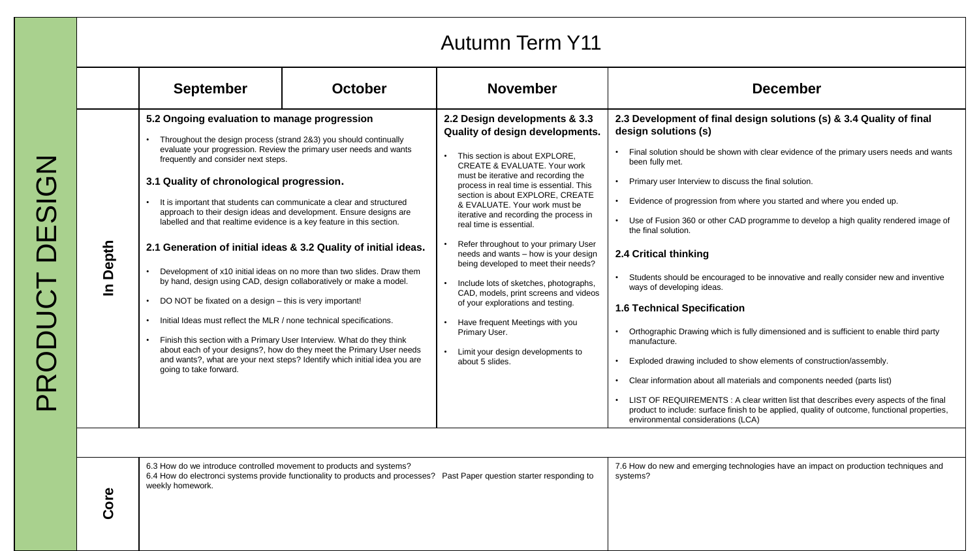| <b>Autumn Term Y11</b> |                                                                                                                                                                                                                                                                                                                                                                                                                                                                                                                                                                                                                                                                                                                                                                                                                                                                                  |                                                                                                                                                                                                                             |                                                                                                                                                                                                                                                                                                                                                                                                                                                                                                                                                                                                                                                                                                                             |                                                                                                                                                                                                                                                                                                                                                                                                                                                                                                                                                                                                                                                                                                                                                                                                                                                                                                                                                                                                                                                                                                                                                |  |
|------------------------|----------------------------------------------------------------------------------------------------------------------------------------------------------------------------------------------------------------------------------------------------------------------------------------------------------------------------------------------------------------------------------------------------------------------------------------------------------------------------------------------------------------------------------------------------------------------------------------------------------------------------------------------------------------------------------------------------------------------------------------------------------------------------------------------------------------------------------------------------------------------------------|-----------------------------------------------------------------------------------------------------------------------------------------------------------------------------------------------------------------------------|-----------------------------------------------------------------------------------------------------------------------------------------------------------------------------------------------------------------------------------------------------------------------------------------------------------------------------------------------------------------------------------------------------------------------------------------------------------------------------------------------------------------------------------------------------------------------------------------------------------------------------------------------------------------------------------------------------------------------------|------------------------------------------------------------------------------------------------------------------------------------------------------------------------------------------------------------------------------------------------------------------------------------------------------------------------------------------------------------------------------------------------------------------------------------------------------------------------------------------------------------------------------------------------------------------------------------------------------------------------------------------------------------------------------------------------------------------------------------------------------------------------------------------------------------------------------------------------------------------------------------------------------------------------------------------------------------------------------------------------------------------------------------------------------------------------------------------------------------------------------------------------|--|
|                        | <b>September</b>                                                                                                                                                                                                                                                                                                                                                                                                                                                                                                                                                                                                                                                                                                                                                                                                                                                                 | <b>October</b>                                                                                                                                                                                                              | <b>November</b>                                                                                                                                                                                                                                                                                                                                                                                                                                                                                                                                                                                                                                                                                                             | <b>December</b>                                                                                                                                                                                                                                                                                                                                                                                                                                                                                                                                                                                                                                                                                                                                                                                                                                                                                                                                                                                                                                                                                                                                |  |
| In Depth               | 5.2 Ongoing evaluation to manage progression<br>Throughout the design process (strand 2&3) you should continually<br>evaluate your progression. Review the primary user needs and wants<br>frequently and consider next steps.<br>3.1 Quality of chronological progression.<br>It is important that students can communicate a clear and structured<br>approach to their design ideas and development. Ensure designs are<br>labelled and that realtime evidence is a key feature in this section.<br>2.1 Generation of initial ideas & 3.2 Quality of initial ideas.<br>by hand, design using CAD, design collaboratively or make a model.<br>DO NOT be fixated on a design - this is very important!<br>Initial Ideas must reflect the MLR / none technical specifications.<br>Finish this section with a Primary User Interview. What do they think<br>going to take forward. | Development of x10 initial ideas on no more than two slides. Draw them<br>about each of your designs?, how do they meet the Primary User needs<br>and wants?, what are your next steps? Identify which initial idea you are | 2.2 Design developments & 3.3<br>Quality of design developments.<br>This section is about EXPLORE.<br>CREATE & EVALUATE. Your work<br>must be iterative and recording the<br>process in real time is essential. This<br>section is about EXPLORE, CREATE<br>& EVALUATE, Your work must be<br>iterative and recording the process in<br>real time is essential.<br>Refer throughout to your primary User<br>needs and wants - how is your design<br>being developed to meet their needs?<br>Include lots of sketches, photographs,<br>CAD, models, print screens and videos<br>of your explorations and testing.<br>Have frequent Meetings with you<br>Primary User.<br>Limit your design developments to<br>about 5 slides. | 2.3 Development of final design solutions (s) & 3.4 Quality of final<br>design solutions (s)<br>Final solution should be shown with clear evidence of the primary users needs and wants<br>been fully met.<br>Primary user Interview to discuss the final solution.<br>Evidence of progression from where you started and where you ended up.<br>Use of Fusion 360 or other CAD programme to develop a high quality rendered image of<br>the final solution.<br>2.4 Critical thinking<br>Students should be encouraged to be innovative and really consider new and inventive<br>ways of developing ideas.<br><b>1.6 Technical Specification</b><br>Orthographic Drawing which is fully dimensioned and is sufficient to enable third party<br>manufacture.<br>Exploded drawing included to show elements of construction/assembly.<br>Clear information about all materials and components needed (parts list)<br>LIST OF REQUIREMENTS : A clear written list that describes every aspects of the final<br>product to include: surface finish to be applied, quality of outcome, functional properties,<br>environmental considerations (LCA) |  |
| Core                   | 6.3 How do we introduce controlled movement to products and systems?<br>weekly homework.                                                                                                                                                                                                                                                                                                                                                                                                                                                                                                                                                                                                                                                                                                                                                                                         |                                                                                                                                                                                                                             | 6.4 How do electronci systems provide functionality to products and processes? Past Paper question starter responding to                                                                                                                                                                                                                                                                                                                                                                                                                                                                                                                                                                                                    | 7.6 How do new and emerging technologies have an impact on production techniques and<br>systems?                                                                                                                                                                                                                                                                                                                                                                                                                                                                                                                                                                                                                                                                                                                                                                                                                                                                                                                                                                                                                                               |  |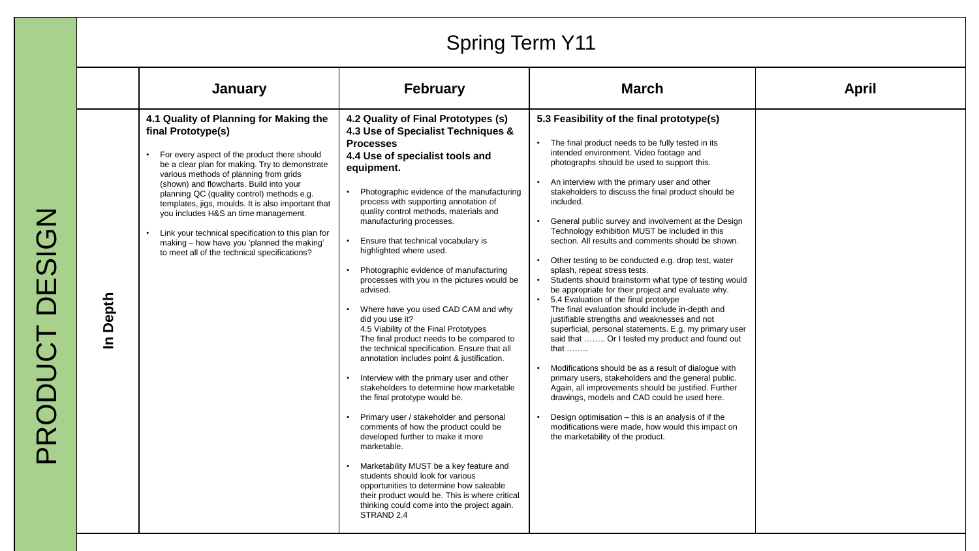# Spring Term Y11

|                       | January                                                                                                                                                                                                                                                                                                                                                                                                                                                                                                                                               | <b>February</b>                                                                                                                                                                                                                                                                                                                                                                                                                                                                                                                                                                                                                                                                                                                                                                                                                                                                                                                                                                                                                                                                                                                                                                                                                                       | <b>March</b>                                                                                                                                                                                                                                                                                                                                                                                                                                                                                                                                                                                                                                                                                                                                                                                                                                                                                                                                                                                                                                                                                                                                                                                                                                                                                                                        | <b>April</b> |
|-----------------------|-------------------------------------------------------------------------------------------------------------------------------------------------------------------------------------------------------------------------------------------------------------------------------------------------------------------------------------------------------------------------------------------------------------------------------------------------------------------------------------------------------------------------------------------------------|-------------------------------------------------------------------------------------------------------------------------------------------------------------------------------------------------------------------------------------------------------------------------------------------------------------------------------------------------------------------------------------------------------------------------------------------------------------------------------------------------------------------------------------------------------------------------------------------------------------------------------------------------------------------------------------------------------------------------------------------------------------------------------------------------------------------------------------------------------------------------------------------------------------------------------------------------------------------------------------------------------------------------------------------------------------------------------------------------------------------------------------------------------------------------------------------------------------------------------------------------------|-------------------------------------------------------------------------------------------------------------------------------------------------------------------------------------------------------------------------------------------------------------------------------------------------------------------------------------------------------------------------------------------------------------------------------------------------------------------------------------------------------------------------------------------------------------------------------------------------------------------------------------------------------------------------------------------------------------------------------------------------------------------------------------------------------------------------------------------------------------------------------------------------------------------------------------------------------------------------------------------------------------------------------------------------------------------------------------------------------------------------------------------------------------------------------------------------------------------------------------------------------------------------------------------------------------------------------------|--------------|
| Depth<br>$\mathbf{a}$ | 4.1 Quality of Planning for Making the<br>final Prototype(s)<br>• For every aspect of the product there should<br>be a clear plan for making. Try to demonstrate<br>various methods of planning from grids<br>(shown) and flowcharts. Build into your<br>planning QC (quality control) methods e.g.<br>templates, jigs, moulds. It is also important that<br>you includes H&S an time management.<br>Link your technical specification to this plan for<br>making - how have you 'planned the making'<br>to meet all of the technical specifications? | 4.2 Quality of Final Prototypes (s)<br>4.3 Use of Specialist Techniques &<br><b>Processes</b><br>4.4 Use of specialist tools and<br>equipment.<br>Photographic evidence of the manufacturing<br>process with supporting annotation of<br>quality control methods, materials and<br>manufacturing processes.<br>Ensure that technical vocabulary is<br>highlighted where used.<br>Photographic evidence of manufacturing<br>processes with you in the pictures would be<br>advised.<br>Where have you used CAD CAM and why<br>did you use it?<br>4.5 Viability of the Final Prototypes<br>The final product needs to be compared to<br>the technical specification. Ensure that all<br>annotation includes point & justification.<br>Interview with the primary user and other<br>stakeholders to determine how marketable<br>the final prototype would be.<br>Primary user / stakeholder and personal<br>comments of how the product could be<br>developed further to make it more<br>marketable.<br>Marketability MUST be a key feature and<br>students should look for various<br>opportunities to determine how saleable<br>their product would be. This is where critical<br>thinking could come into the project again.<br>STRAND <sub>2.4</sub> | 5.3 Feasibility of the final prototype(s)<br>The final product needs to be fully tested in its<br>intended environment. Video footage and<br>photographs should be used to support this.<br>An interview with the primary user and other<br>stakeholders to discuss the final product should be<br>included.<br>General public survey and involvement at the Design<br>Technology exhibition MUST be included in this<br>section. All results and comments should be shown.<br>Other testing to be conducted e.g. drop test, water<br>splash, repeat stress tests.<br>Students should brainstorm what type of testing would<br>be appropriate for their project and evaluate why.<br>5.4 Evaluation of the final prototype<br>The final evaluation should include in-depth and<br>justifiable strengths and weaknesses and not<br>superficial, personal statements. E.g. my primary user<br>said that  Or I tested my product and found out<br>that $\dots$<br>Modifications should be as a result of dialogue with<br>primary users, stakeholders and the general public.<br>Again, all improvements should be justified. Further<br>drawings, models and CAD could be used here.<br>Design optimisation - this is an analysis of if the<br>modifications were made, how would this impact on<br>the marketability of the product. |              |

PRODUCT DESIGN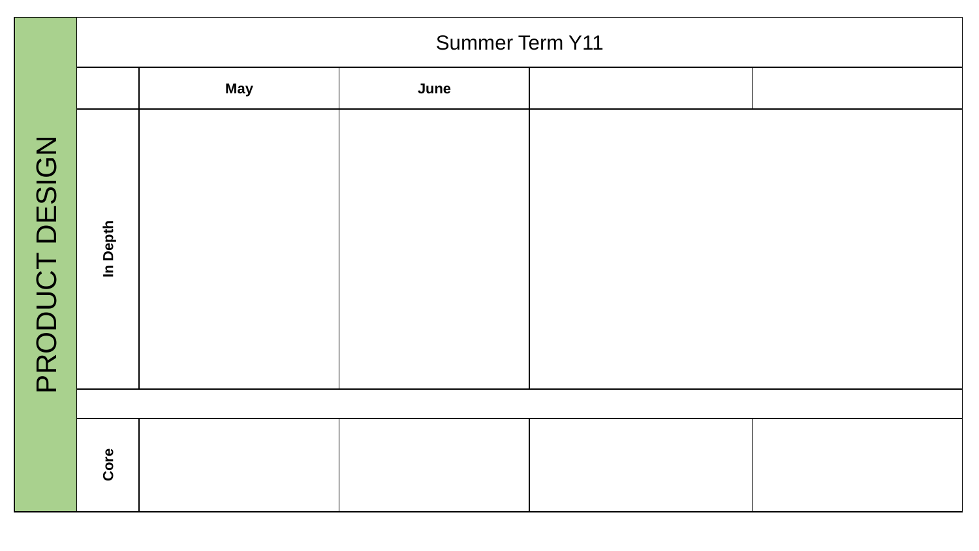|                          | <b>Summer Term Y11</b> |            |      |  |  |  |  |
|--------------------------|------------------------|------------|------|--|--|--|--|
|                          |                        | <b>May</b> | June |  |  |  |  |
| <b>DESIGN</b><br>PRODUCT | In Depth               |            |      |  |  |  |  |
|                          |                        |            |      |  |  |  |  |
|                          | Core                   |            |      |  |  |  |  |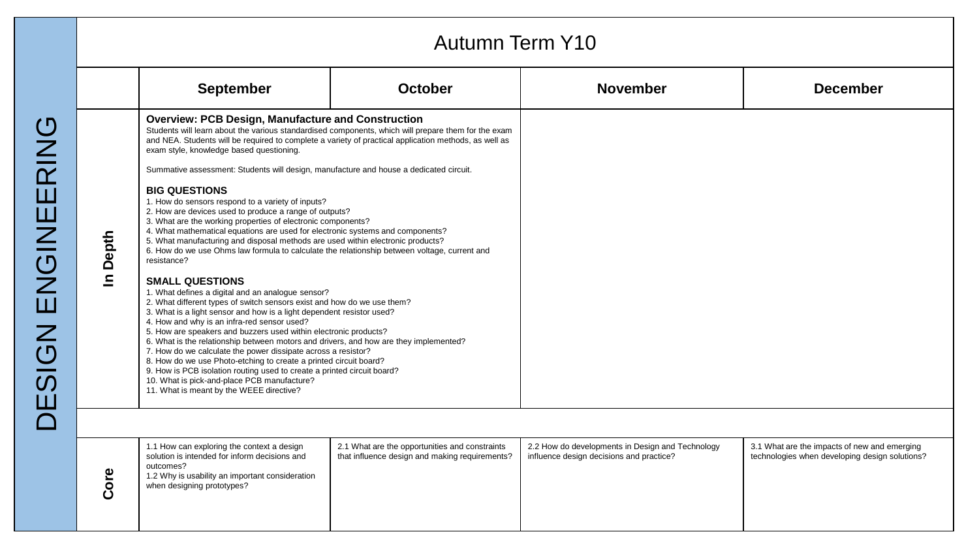|                                                         |            |                                                                                                                                                                                                                                                                                                                                                                                                                                                                                                                                                                                                                                                                                                                                                                                                                                                                                                                                                                                                                                                                                                                                                                                                                                                                                                                                                                                                                                                                                                                                                                | <b>Autumn Term Y10</b>                                                                              |                                                                                              |                                                                                                |
|---------------------------------------------------------|------------|----------------------------------------------------------------------------------------------------------------------------------------------------------------------------------------------------------------------------------------------------------------------------------------------------------------------------------------------------------------------------------------------------------------------------------------------------------------------------------------------------------------------------------------------------------------------------------------------------------------------------------------------------------------------------------------------------------------------------------------------------------------------------------------------------------------------------------------------------------------------------------------------------------------------------------------------------------------------------------------------------------------------------------------------------------------------------------------------------------------------------------------------------------------------------------------------------------------------------------------------------------------------------------------------------------------------------------------------------------------------------------------------------------------------------------------------------------------------------------------------------------------------------------------------------------------|-----------------------------------------------------------------------------------------------------|----------------------------------------------------------------------------------------------|------------------------------------------------------------------------------------------------|
|                                                         |            | <b>September</b>                                                                                                                                                                                                                                                                                                                                                                                                                                                                                                                                                                                                                                                                                                                                                                                                                                                                                                                                                                                                                                                                                                                                                                                                                                                                                                                                                                                                                                                                                                                                               | <b>October</b>                                                                                      | <b>November</b>                                                                              | <b>December</b>                                                                                |
| ひ<br>RIN<br>$\mathbf{\Pi}$<br>NGINEI<br>Ш<br><b>NO2</b> | Depth<br>드 | <b>Overview: PCB Design, Manufacture and Construction</b><br>and NEA. Students will be required to complete a variety of practical application methods, as well as<br>exam style, knowledge based questioning.<br>Summative assessment: Students will design, manufacture and house a dedicated circuit.<br><b>BIG QUESTIONS</b><br>1. How do sensors respond to a variety of inputs?<br>2. How are devices used to produce a range of outputs?<br>3. What are the working properties of electronic components?<br>4. What mathematical equations are used for electronic systems and components?<br>5. What manufacturing and disposal methods are used within electronic products?<br>6. How do we use Ohms law formula to calculate the relationship between voltage, current and<br>resistance?<br><b>SMALL QUESTIONS</b><br>1. What defines a digital and an analogue sensor?<br>2. What different types of switch sensors exist and how do we use them?<br>3. What is a light sensor and how is a light dependent resistor used?<br>4. How and why is an infra-red sensor used?<br>5. How are speakers and buzzers used within electronic products?<br>6. What is the relationship between motors and drivers, and how are they implemented?<br>7. How do we calculate the power dissipate across a resistor?<br>8. How do we use Photo-etching to create a printed circuit board?<br>9. How is PCB isolation routing used to create a printed circuit board?<br>10. What is pick-and-place PCB manufacture?<br>11. What is meant by the WEEE directive? | Students will learn about the various standardised components, which will prepare them for the exam |                                                                                              |                                                                                                |
|                                                         |            |                                                                                                                                                                                                                                                                                                                                                                                                                                                                                                                                                                                                                                                                                                                                                                                                                                                                                                                                                                                                                                                                                                                                                                                                                                                                                                                                                                                                                                                                                                                                                                |                                                                                                     |                                                                                              |                                                                                                |
|                                                         | Core       | 1.1 How can exploring the context a design<br>solution is intended for inform decisions and<br>outcomes?<br>1.2 Why is usability an important consideration<br>when designing prototypes?                                                                                                                                                                                                                                                                                                                                                                                                                                                                                                                                                                                                                                                                                                                                                                                                                                                                                                                                                                                                                                                                                                                                                                                                                                                                                                                                                                      | 2.1 What are the opportunities and constraints<br>that influence design and making requirements?    | 2.2 How do developments in Design and Technology<br>influence design decisions and practice? | 3.1 What are the impacts of new and emerging<br>technologies when developing design solutions? |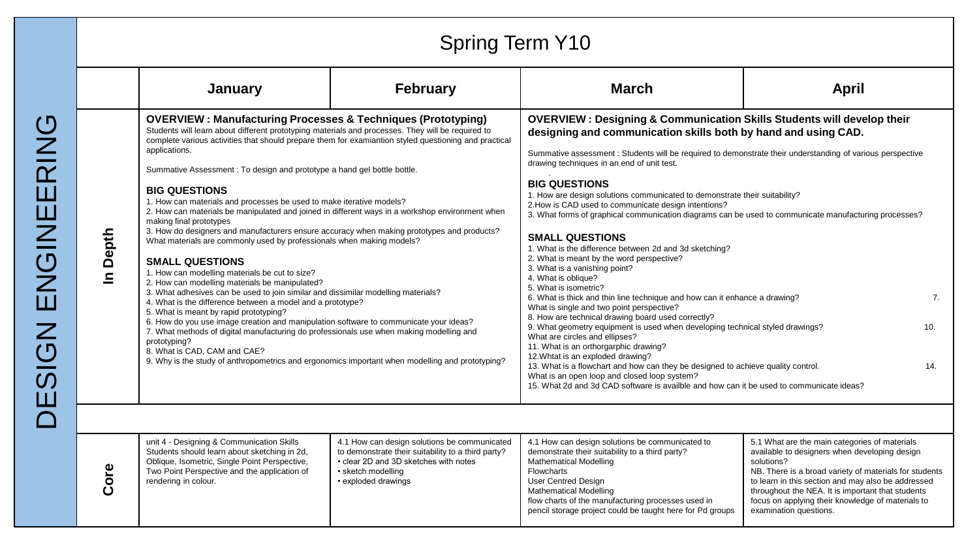|                                                                                                                                |                                                                                                                                                                                                                                                                                                                                                                                                                        | <b>Spring Term Y10</b>                                                                                                                                                                                                                                                                                                                                                                                                                                                                                                                                                                                                                                                                                                                                                                                                                                                                                                                                                                                                                                                                                                                                                                                                                                                                                                                                                                                                                                   |                 |                                                                                                                                                                                                                                                                                                                                                                                                                                                                                                                                                                                                                                                                                                                                                                                                                                                                                                                                                                                                                                                                                                                                                                                                                                                                                                                                                                                                                                                |                                                                                                                                                                                                                                                                                                                                                                  |  |
|--------------------------------------------------------------------------------------------------------------------------------|------------------------------------------------------------------------------------------------------------------------------------------------------------------------------------------------------------------------------------------------------------------------------------------------------------------------------------------------------------------------------------------------------------------------|----------------------------------------------------------------------------------------------------------------------------------------------------------------------------------------------------------------------------------------------------------------------------------------------------------------------------------------------------------------------------------------------------------------------------------------------------------------------------------------------------------------------------------------------------------------------------------------------------------------------------------------------------------------------------------------------------------------------------------------------------------------------------------------------------------------------------------------------------------------------------------------------------------------------------------------------------------------------------------------------------------------------------------------------------------------------------------------------------------------------------------------------------------------------------------------------------------------------------------------------------------------------------------------------------------------------------------------------------------------------------------------------------------------------------------------------------------|-----------------|------------------------------------------------------------------------------------------------------------------------------------------------------------------------------------------------------------------------------------------------------------------------------------------------------------------------------------------------------------------------------------------------------------------------------------------------------------------------------------------------------------------------------------------------------------------------------------------------------------------------------------------------------------------------------------------------------------------------------------------------------------------------------------------------------------------------------------------------------------------------------------------------------------------------------------------------------------------------------------------------------------------------------------------------------------------------------------------------------------------------------------------------------------------------------------------------------------------------------------------------------------------------------------------------------------------------------------------------------------------------------------------------------------------------------------------------|------------------------------------------------------------------------------------------------------------------------------------------------------------------------------------------------------------------------------------------------------------------------------------------------------------------------------------------------------------------|--|
| <u>(၂</u><br><b>NIS</b><br>Ш<br><b>ZUGIN</b><br>$\mathsf{Z}% _{M_{1},M_{2}}^{\alpha,\beta}(\mathbb{R}^{N})$<br><u>(၂</u><br>(၃ |                                                                                                                                                                                                                                                                                                                                                                                                                        | January                                                                                                                                                                                                                                                                                                                                                                                                                                                                                                                                                                                                                                                                                                                                                                                                                                                                                                                                                                                                                                                                                                                                                                                                                                                                                                                                                                                                                                                  | <b>February</b> | <b>March</b>                                                                                                                                                                                                                                                                                                                                                                                                                                                                                                                                                                                                                                                                                                                                                                                                                                                                                                                                                                                                                                                                                                                                                                                                                                                                                                                                                                                                                                   | <b>April</b>                                                                                                                                                                                                                                                                                                                                                     |  |
|                                                                                                                                | Depth<br>$\mathbf{a}$                                                                                                                                                                                                                                                                                                                                                                                                  | <b>OVERVIEW: Manufacturing Processes &amp; Techniques (Prototyping)</b><br>Students will learn about different prototyping materials and processes. They will be required to<br>complete various activities that should prepare them for examiantion styled questioning and practical<br>applications.<br>Summative Assessment: To design and prototype a hand gel bottle bottle.<br><b>BIG QUESTIONS</b><br>1. How can materials and processes be used to make iterative models?<br>2. How can materials be manipulated and joined in different ways in a workshop environment when<br>making final prototypes<br>3. How do designers and manufacturers ensure accuracy when making prototypes and products?<br>What materials are commonly used by professionals when making models?<br><b>SMALL QUESTIONS</b><br>1. How can modelling materials be cut to size?<br>2. How can modelling materials be manipulated?<br>3. What adhesives can be used to join similar and dissimilar modelling materials?<br>4. What is the difference between a model and a prototype?<br>5. What is meant by rapid prototyping?<br>6. How do you use image creation and manipulation software to communicate your ideas?<br>7. What methods of digital manufacturing do professionals use when making modelling and<br>prototyping?<br>8. What is CAD, CAM and CAE?<br>9. Why is the study of anthropometrics and ergonomics important when modelling and prototyping? |                 | <b>OVERVIEW: Designing &amp; Communication Skills Students will develop their</b><br>designing and communication skills both by hand and using CAD.<br>Summative assessment : Students will be required to demonstrate their understanding of various perspective<br>drawing techniques in an end of unit test.<br><b>BIG QUESTIONS</b><br>1. How are design solutions communicated to demonstrate their suitability?<br>2. How is CAD used to communicate design intentions?<br>3. What forms of graphical communication diagrams can be used to communicate manufacturing processes?<br><b>SMALL QUESTIONS</b><br>1. What is the difference between 2d and 3d sketching?<br>2. What is meant by the word perspective?<br>3. What is a vanishing point?<br>4. What is oblique?<br>5. What is isometric?<br>6. What is thick and thin line technique and how can it enhance a drawing?<br>7.<br>What is single and two point perspective?<br>8. How are technical drawing board used correctly?<br>9. What geometry equipment is used when developing technical styled drawings?<br>10.<br>What are circles and ellipses?<br>11. What is an orthorgarphic drawing?<br>12. Whtat is an exploded drawing?<br>13. What is a flowchart and how can they be designed to achieve quality control.<br>14.<br>What is an open loop and closed loop system?<br>15. What 2d and 3d CAD software is availble and how can it be used to communicate ideas? |                                                                                                                                                                                                                                                                                                                                                                  |  |
|                                                                                                                                | unit 4 - Designing & Communication Skills<br>4.1 How can design solutions be communicated<br>Students should learn about sketching in 2d,<br>to demonstrate their suitability to a third party?<br>Oblique, Isometric, Single Point Perspective,<br>• clear 2D and 3D sketches with notes<br>Core<br>Two Point Perspective and the application of<br>• sketch modelling<br>rendering in colour.<br>• exploded drawings |                                                                                                                                                                                                                                                                                                                                                                                                                                                                                                                                                                                                                                                                                                                                                                                                                                                                                                                                                                                                                                                                                                                                                                                                                                                                                                                                                                                                                                                          |                 | 4.1 How can design solutions be communicated to<br>demonstrate their suitability to a third party?<br><b>Mathematical Modelling</b><br><b>Flowcharts</b><br>User Centred Design<br><b>Mathematical Modelling</b><br>flow charts of the manufacturing processes used in<br>pencil storage project could be taught here for Pd groups                                                                                                                                                                                                                                                                                                                                                                                                                                                                                                                                                                                                                                                                                                                                                                                                                                                                                                                                                                                                                                                                                                            | 5.1 What are the main categories of materials<br>available to designers when developing design<br>solutions?<br>NB. There is a broad variety of materials for students<br>to learn in this section and may also be addressed<br>throughout the NEA. It is important that students<br>focus on applying their knowledge of materials to<br>examination questions. |  |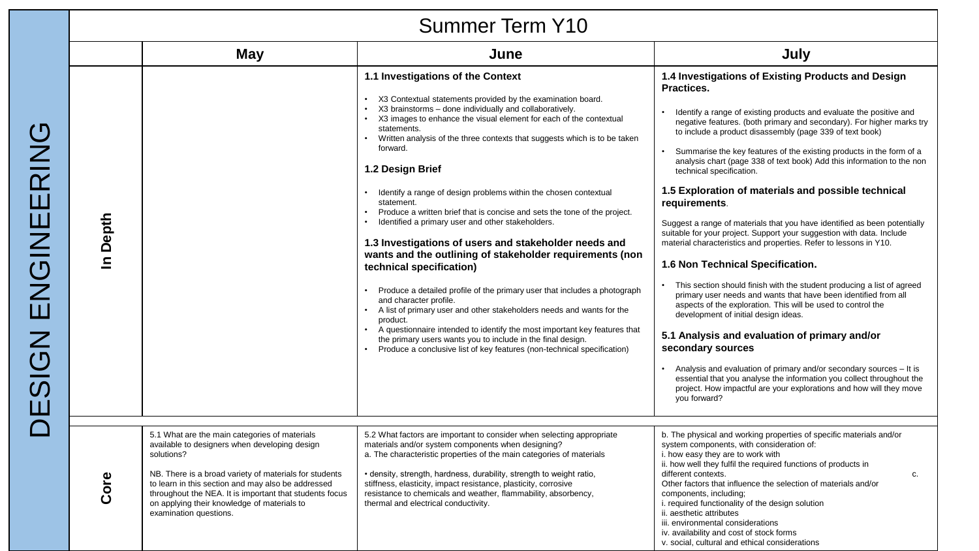#### Summer Term Y10

| <b>OUIIIIIIEI IEIIII I IV</b> |                                                                                                                                                                                                                                                                                                                                                                  |                                                                                                                                                                                                                                                                                                                                                                                                                                                                                                                                                                                                                                                                                                                                                                                                                                                                                                                                                                                                                                                                                                                                                       |                                                                                                                                                                                                                                                                                                                                                                                                                                                                                                                                                                                                                                                                                                                                                                                                                                                                                                                                                                                                                                                                                                                                                                                                                                                                                                                                                                     |  |  |
|-------------------------------|------------------------------------------------------------------------------------------------------------------------------------------------------------------------------------------------------------------------------------------------------------------------------------------------------------------------------------------------------------------|-------------------------------------------------------------------------------------------------------------------------------------------------------------------------------------------------------------------------------------------------------------------------------------------------------------------------------------------------------------------------------------------------------------------------------------------------------------------------------------------------------------------------------------------------------------------------------------------------------------------------------------------------------------------------------------------------------------------------------------------------------------------------------------------------------------------------------------------------------------------------------------------------------------------------------------------------------------------------------------------------------------------------------------------------------------------------------------------------------------------------------------------------------|---------------------------------------------------------------------------------------------------------------------------------------------------------------------------------------------------------------------------------------------------------------------------------------------------------------------------------------------------------------------------------------------------------------------------------------------------------------------------------------------------------------------------------------------------------------------------------------------------------------------------------------------------------------------------------------------------------------------------------------------------------------------------------------------------------------------------------------------------------------------------------------------------------------------------------------------------------------------------------------------------------------------------------------------------------------------------------------------------------------------------------------------------------------------------------------------------------------------------------------------------------------------------------------------------------------------------------------------------------------------|--|--|
|                               | May                                                                                                                                                                                                                                                                                                                                                              | June                                                                                                                                                                                                                                                                                                                                                                                                                                                                                                                                                                                                                                                                                                                                                                                                                                                                                                                                                                                                                                                                                                                                                  | July                                                                                                                                                                                                                                                                                                                                                                                                                                                                                                                                                                                                                                                                                                                                                                                                                                                                                                                                                                                                                                                                                                                                                                                                                                                                                                                                                                |  |  |
| In Depth                      |                                                                                                                                                                                                                                                                                                                                                                  | 1.1 Investigations of the Context<br>X3 Contextual statements provided by the examination board.<br>X3 brainstorms - done individually and collaboratively.<br>X3 images to enhance the visual element for each of the contextual<br>statements.<br>Written analysis of the three contexts that suggests which is to be taken<br>forward.<br>1.2 Design Brief<br>Identify a range of design problems within the chosen contextual<br>statement.<br>Produce a written brief that is concise and sets the tone of the project.<br>Identified a primary user and other stakeholders.<br>1.3 Investigations of users and stakeholder needs and<br>wants and the outlining of stakeholder requirements (non<br>technical specification)<br>Produce a detailed profile of the primary user that includes a photograph<br>and character profile.<br>A list of primary user and other stakeholders needs and wants for the<br>product.<br>A questionnaire intended to identify the most important key features that<br>the primary users wants you to include in the final design.<br>Produce a conclusive list of key features (non-technical specification) | 1.4 Investigations of Existing Products and Design<br>Practices.<br>Identify a range of existing products and evaluate the positive and<br>negative features. (both primary and secondary). For higher marks try<br>to include a product disassembly (page 339 of text book)<br>Summarise the key features of the existing products in the form of a<br>analysis chart (page 338 of text book) Add this information to the non<br>technical specification.<br>1.5 Exploration of materials and possible technical<br>requirements.<br>Suggest a range of materials that you have identified as been potentially<br>suitable for your project. Support your suggestion with data. Include<br>material characteristics and properties. Refer to lessons in Y10.<br>1.6 Non Technical Specification.<br>This section should finish with the student producing a list of agreed<br>primary user needs and wants that have been identified from all<br>aspects of the exploration. This will be used to control the<br>development of initial design ideas.<br>5.1 Analysis and evaluation of primary and/or<br>secondary sources<br>Analysis and evaluation of primary and/or secondary sources - It is<br>essential that you analyse the information you collect throughout the<br>project. How impactful are your explorations and how will they move<br>you forward? |  |  |
| Core                          | 5.1 What are the main categories of materials<br>available to designers when developing design<br>solutions?<br>NB. There is a broad variety of materials for students<br>to learn in this section and may also be addressed<br>throughout the NEA. It is important that students focus<br>on applying their knowledge of materials to<br>examination questions. | 5.2 What factors are important to consider when selecting appropriate<br>materials and/or system components when designing?<br>a. The characteristic properties of the main categories of materials<br>· density, strength, hardness, durability, strength to weight ratio,<br>stiffness, elasticity, impact resistance, plasticity, corrosive<br>resistance to chemicals and weather, flammability, absorbency,<br>thermal and electrical conductivity.                                                                                                                                                                                                                                                                                                                                                                                                                                                                                                                                                                                                                                                                                              | b. The physical and working properties of specific materials and/or<br>system components, with consideration of:<br>i. how easy they are to work with<br>ii. how well they fulfil the required functions of products in<br>different contexts.<br>c.<br>Other factors that influence the selection of materials and/or<br>components, including;<br>i. required functionality of the design solution<br>ii. aesthetic attributes<br>iii. environmental considerations<br>iv. availability and cost of stock forms<br>v. social, cultural and ethical considerations                                                                                                                                                                                                                                                                                                                                                                                                                                                                                                                                                                                                                                                                                                                                                                                                 |  |  |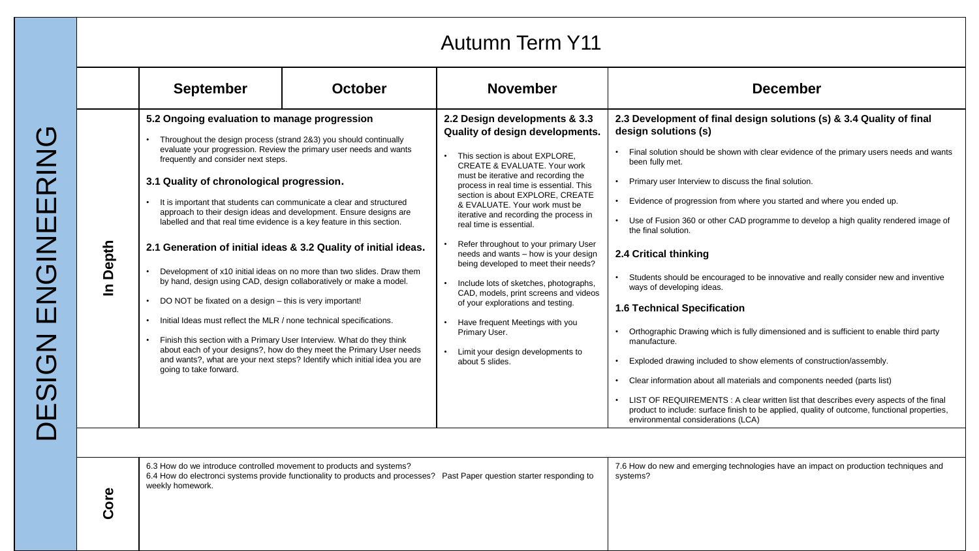| <b>Autumn Term Y11</b> |                                                                                                                                                                                                                                                                                                                                                                                                                                                                                                                                                                                                                                                                    |                                                                                                                                                                                                                                                                                                                                                                                                                                            |                                                                                                                                                                                                                                                                                                                                                                                                                                                                                                                                                                                                                                                                                                                                                     |                                                                                                                                                                                                                                                                                                                                                                                                                                                                                                                                                                                                                                                                                                                                                                                                                                                                                                                                                                                                                                                                                                                                                  |  |  |
|------------------------|--------------------------------------------------------------------------------------------------------------------------------------------------------------------------------------------------------------------------------------------------------------------------------------------------------------------------------------------------------------------------------------------------------------------------------------------------------------------------------------------------------------------------------------------------------------------------------------------------------------------------------------------------------------------|--------------------------------------------------------------------------------------------------------------------------------------------------------------------------------------------------------------------------------------------------------------------------------------------------------------------------------------------------------------------------------------------------------------------------------------------|-----------------------------------------------------------------------------------------------------------------------------------------------------------------------------------------------------------------------------------------------------------------------------------------------------------------------------------------------------------------------------------------------------------------------------------------------------------------------------------------------------------------------------------------------------------------------------------------------------------------------------------------------------------------------------------------------------------------------------------------------------|--------------------------------------------------------------------------------------------------------------------------------------------------------------------------------------------------------------------------------------------------------------------------------------------------------------------------------------------------------------------------------------------------------------------------------------------------------------------------------------------------------------------------------------------------------------------------------------------------------------------------------------------------------------------------------------------------------------------------------------------------------------------------------------------------------------------------------------------------------------------------------------------------------------------------------------------------------------------------------------------------------------------------------------------------------------------------------------------------------------------------------------------------|--|--|
|                        | <b>September</b>                                                                                                                                                                                                                                                                                                                                                                                                                                                                                                                                                                                                                                                   | <b>October</b>                                                                                                                                                                                                                                                                                                                                                                                                                             | <b>November</b>                                                                                                                                                                                                                                                                                                                                                                                                                                                                                                                                                                                                                                                                                                                                     | <b>December</b>                                                                                                                                                                                                                                                                                                                                                                                                                                                                                                                                                                                                                                                                                                                                                                                                                                                                                                                                                                                                                                                                                                                                  |  |  |
| In Depth               | 5.2 Ongoing evaluation to manage progression<br>Throughout the design process (strand 2&3) you should continually<br>frequently and consider next steps.<br>3.1 Quality of chronological progression.<br>It is important that students can communicate a clear and structured<br>labelled and that real time evidence is a key feature in this section.<br>by hand, design using CAD, design collaboratively or make a model.<br>DO NOT be fixated on a design - this is very important!<br>Initial Ideas must reflect the MLR / none technical specifications.<br>Finish this section with a Primary User Interview. What do they think<br>going to take forward. | evaluate your progression. Review the primary user needs and wants<br>approach to their design ideas and development. Ensure designs are<br>2.1 Generation of initial ideas & 3.2 Quality of initial ideas.<br>Development of x10 initial ideas on no more than two slides. Draw them<br>about each of your designs?, how do they meet the Primary User needs<br>and wants?, what are your next steps? Identify which initial idea you are | 2.2 Design developments & 3.3<br>Quality of design developments.<br>This section is about EXPLORE,<br><b>CREATE &amp; EVALUATE. Your work</b><br>must be iterative and recording the<br>process in real time is essential. This<br>section is about EXPLORE, CREATE<br>& EVALUATE. Your work must be<br>iterative and recording the process in<br>real time is essential.<br>Refer throughout to your primary User<br>$\bullet$<br>needs and wants - how is your design<br>being developed to meet their needs?<br>Include lots of sketches, photographs,<br>CAD, models, print screens and videos<br>of your explorations and testing.<br>Have frequent Meetings with you<br>Primary User.<br>Limit your design developments to<br>about 5 slides. | 2.3 Development of final design solutions (s) & 3.4 Quality of final<br>design solutions (s)<br>Final solution should be shown with clear evidence of the primary users needs and wants<br>been fully met.<br>Primary user Interview to discuss the final solution.<br>Evidence of progression from where you started and where you ended up.<br>• Use of Fusion 360 or other CAD programme to develop a high quality rendered image of<br>the final solution.<br>2.4 Critical thinking<br>Students should be encouraged to be innovative and really consider new and inventive<br>ways of developing ideas.<br><b>1.6 Technical Specification</b><br>Orthographic Drawing which is fully dimensioned and is sufficient to enable third party<br>manufacture.<br>Exploded drawing included to show elements of construction/assembly.<br>Clear information about all materials and components needed (parts list)<br>LIST OF REQUIREMENTS : A clear written list that describes every aspects of the final<br>product to include: surface finish to be applied, quality of outcome, functional properties,<br>environmental considerations (LCA) |  |  |
| စ<br>၁၀                | 6.3 How do we introduce controlled movement to products and systems?<br>weekly homework.                                                                                                                                                                                                                                                                                                                                                                                                                                                                                                                                                                           |                                                                                                                                                                                                                                                                                                                                                                                                                                            | 6.4 How do electronci systems provide functionality to products and processes? Past Paper question starter responding to                                                                                                                                                                                                                                                                                                                                                                                                                                                                                                                                                                                                                            | 7.6 How do new and emerging technologies have an impact on production techniques and<br>systems?                                                                                                                                                                                                                                                                                                                                                                                                                                                                                                                                                                                                                                                                                                                                                                                                                                                                                                                                                                                                                                                 |  |  |

DESIGN ENGINEERING DESIGN ENGINEERING

 $\breve{\mathbf{C}}$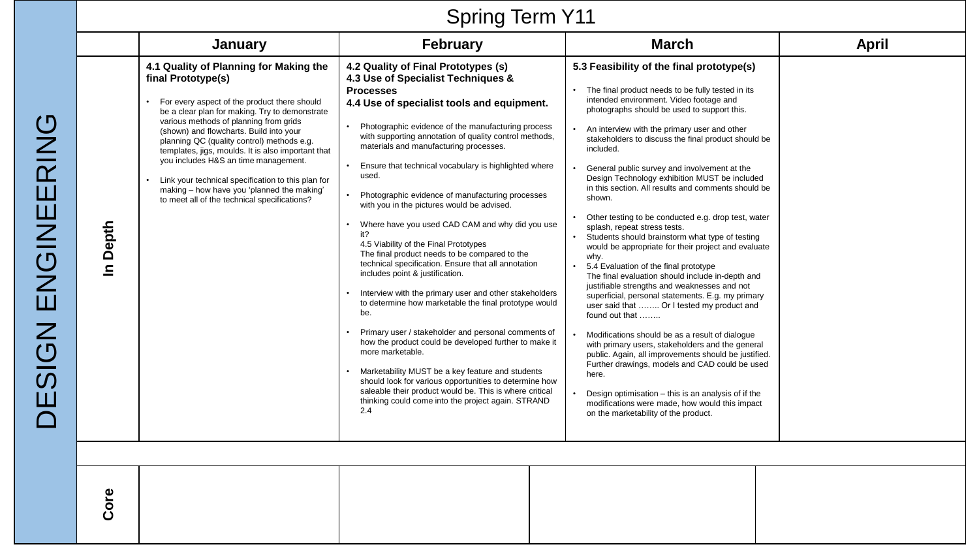# Spring Term Y11

|          | January                                                                                                                                                                                                                                                                                                                                                                                                                                                                                                                                             | <b>February</b>                                                                                                                                                                                                                                                                                                                                                                                                                                                                                                                                                                                                                                                                                                                                                                                                                                                                                                                                                                                                                                                                                                                                                                                                                          | <b>March</b>                                                                                                                                                                                                                                                                                                                                                                                                                                                                                                                                                                                                                                                                                                                                                                                                                                                                                                                                                                                                                                                                                                                                                                                                                                                                                                                         | April |
|----------|-----------------------------------------------------------------------------------------------------------------------------------------------------------------------------------------------------------------------------------------------------------------------------------------------------------------------------------------------------------------------------------------------------------------------------------------------------------------------------------------------------------------------------------------------------|------------------------------------------------------------------------------------------------------------------------------------------------------------------------------------------------------------------------------------------------------------------------------------------------------------------------------------------------------------------------------------------------------------------------------------------------------------------------------------------------------------------------------------------------------------------------------------------------------------------------------------------------------------------------------------------------------------------------------------------------------------------------------------------------------------------------------------------------------------------------------------------------------------------------------------------------------------------------------------------------------------------------------------------------------------------------------------------------------------------------------------------------------------------------------------------------------------------------------------------|--------------------------------------------------------------------------------------------------------------------------------------------------------------------------------------------------------------------------------------------------------------------------------------------------------------------------------------------------------------------------------------------------------------------------------------------------------------------------------------------------------------------------------------------------------------------------------------------------------------------------------------------------------------------------------------------------------------------------------------------------------------------------------------------------------------------------------------------------------------------------------------------------------------------------------------------------------------------------------------------------------------------------------------------------------------------------------------------------------------------------------------------------------------------------------------------------------------------------------------------------------------------------------------------------------------------------------------|-------|
| In Depth | 4.1 Quality of Planning for Making the<br>final Prototype(s)<br>For every aspect of the product there should<br>be a clear plan for making. Try to demonstrate<br>various methods of planning from grids<br>(shown) and flowcharts. Build into your<br>planning QC (quality control) methods e.g.<br>templates, jigs, moulds. It is also important that<br>you includes H&S an time management.<br>Link your technical specification to this plan for<br>making - how have you 'planned the making'<br>to meet all of the technical specifications? | 4.2 Quality of Final Prototypes (s)<br>4.3 Use of Specialist Techniques &<br><b>Processes</b><br>4.4 Use of specialist tools and equipment.<br>Photographic evidence of the manufacturing process<br>with supporting annotation of quality control methods,<br>materials and manufacturing processes.<br>Ensure that technical vocabulary is highlighted where<br>used.<br>Photographic evidence of manufacturing processes<br>with you in the pictures would be advised.<br>Where have you used CAD CAM and why did you use<br>$\bullet$<br>it?<br>4.5 Viability of the Final Prototypes<br>The final product needs to be compared to the<br>technical specification. Ensure that all annotation<br>includes point & justification.<br>Interview with the primary user and other stakeholders<br>to determine how marketable the final prototype would<br>be.<br>Primary user / stakeholder and personal comments of<br>how the product could be developed further to make it<br>more marketable.<br>Marketability MUST be a key feature and students<br>should look for various opportunities to determine how<br>saleable their product would be. This is where critical<br>thinking could come into the project again. STRAND<br>2.4 | 5.3 Feasibility of the final prototype(s)<br>The final product needs to be fully tested in its<br>intended environment. Video footage and<br>photographs should be used to support this.<br>An interview with the primary user and other<br>stakeholders to discuss the final product should be<br>included.<br>General public survey and involvement at the<br>Design Technology exhibition MUST be included<br>in this section. All results and comments should be<br>shown.<br>Other testing to be conducted e.g. drop test, water<br>splash, repeat stress tests.<br>Students should brainstorm what type of testing<br>would be appropriate for their project and evaluate<br>why.<br>5.4 Evaluation of the final prototype<br>The final evaluation should include in-depth and<br>justifiable strengths and weaknesses and not<br>superficial, personal statements. E.g. my primary<br>user said that  Or I tested my product and<br>found out that<br>Modifications should be as a result of dialogue<br>with primary users, stakeholders and the general<br>public. Again, all improvements should be justified.<br>Further drawings, models and CAD could be used<br>here.<br>Design optimisation - this is an analysis of if the<br>modifications were made, how would this impact<br>on the marketability of the product. |       |
|          |                                                                                                                                                                                                                                                                                                                                                                                                                                                                                                                                                     |                                                                                                                                                                                                                                                                                                                                                                                                                                                                                                                                                                                                                                                                                                                                                                                                                                                                                                                                                                                                                                                                                                                                                                                                                                          |                                                                                                                                                                                                                                                                                                                                                                                                                                                                                                                                                                                                                                                                                                                                                                                                                                                                                                                                                                                                                                                                                                                                                                                                                                                                                                                                      |       |
| Core     |                                                                                                                                                                                                                                                                                                                                                                                                                                                                                                                                                     |                                                                                                                                                                                                                                                                                                                                                                                                                                                                                                                                                                                                                                                                                                                                                                                                                                                                                                                                                                                                                                                                                                                                                                                                                                          |                                                                                                                                                                                                                                                                                                                                                                                                                                                                                                                                                                                                                                                                                                                                                                                                                                                                                                                                                                                                                                                                                                                                                                                                                                                                                                                                      |       |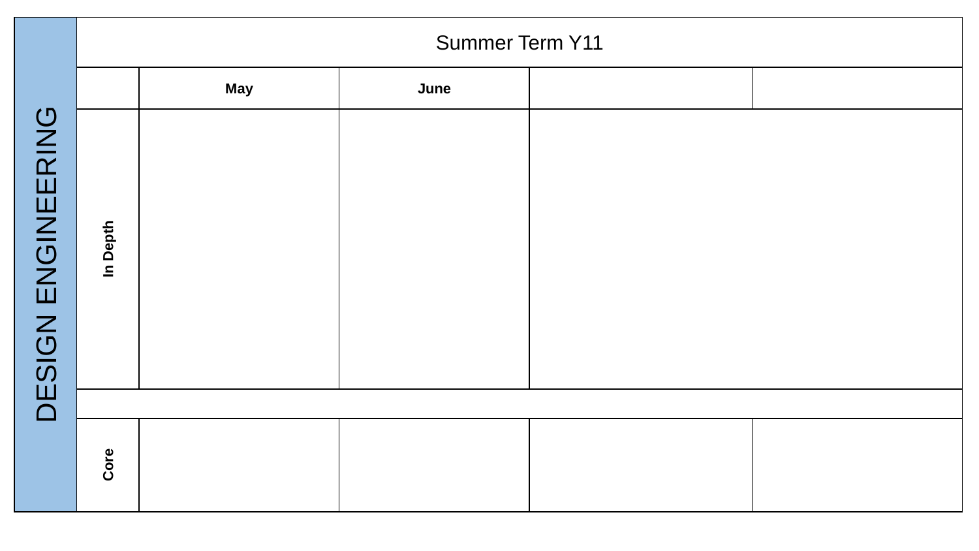|                       |          | <b>Summer Term Y11</b> |      |  |  |  |
|-----------------------|----------|------------------------|------|--|--|--|
|                       |          | <b>May</b>             | June |  |  |  |
| ENGINEERING<br>DESIGN | In Depth |                        |      |  |  |  |
|                       |          |                        |      |  |  |  |
|                       | Core     |                        |      |  |  |  |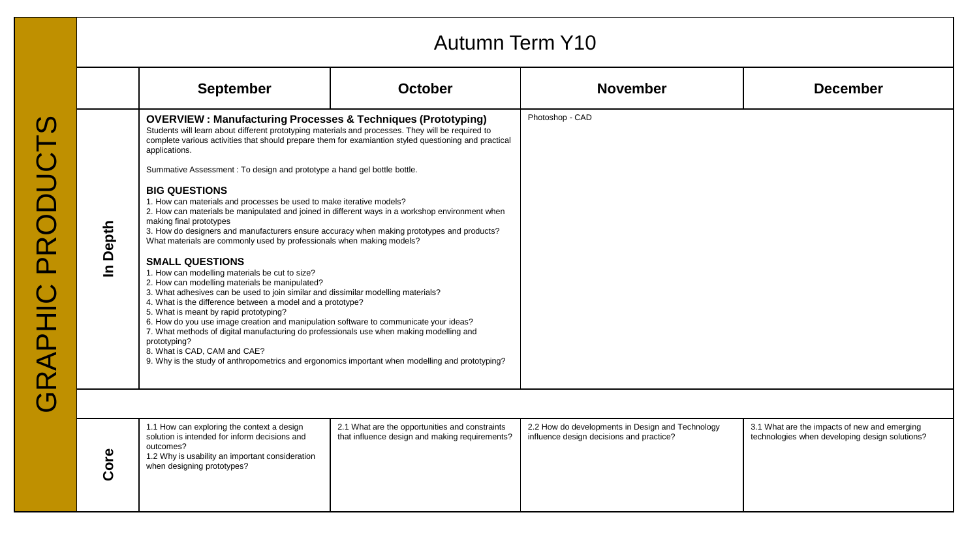### Autumn Term Y10

|          | <b>September</b>                                                                                                                                                                                                                                                                                                                                                                                                                                                                                                                                                                                                                                                                                                                                                                                                                                                                                                                                                                                                                                                                                                                                                                                                                                                                                                                                                                                                                                                                                                                                                                                                                                                             | <b>October</b> | <b>November</b>                                                                              | <b>December</b>                                                                                |
|----------|------------------------------------------------------------------------------------------------------------------------------------------------------------------------------------------------------------------------------------------------------------------------------------------------------------------------------------------------------------------------------------------------------------------------------------------------------------------------------------------------------------------------------------------------------------------------------------------------------------------------------------------------------------------------------------------------------------------------------------------------------------------------------------------------------------------------------------------------------------------------------------------------------------------------------------------------------------------------------------------------------------------------------------------------------------------------------------------------------------------------------------------------------------------------------------------------------------------------------------------------------------------------------------------------------------------------------------------------------------------------------------------------------------------------------------------------------------------------------------------------------------------------------------------------------------------------------------------------------------------------------------------------------------------------------|----------------|----------------------------------------------------------------------------------------------|------------------------------------------------------------------------------------------------|
| In Depth | <b>OVERVIEW: Manufacturing Processes &amp; Techniques (Prototyping)</b><br>Students will learn about different prototyping materials and processes. They will be required to<br>complete various activities that should prepare them for examiantion styled questioning and practical<br>applications.<br>Summative Assessment: To design and prototype a hand gel bottle bottle.<br><b>BIG QUESTIONS</b><br>1. How can materials and processes be used to make iterative models?<br>2. How can materials be manipulated and joined in different ways in a workshop environment when<br>making final prototypes<br>3. How do designers and manufacturers ensure accuracy when making prototypes and products?<br>What materials are commonly used by professionals when making models?<br><b>SMALL QUESTIONS</b><br>1. How can modelling materials be cut to size?<br>2. How can modelling materials be manipulated?<br>3. What adhesives can be used to join similar and dissimilar modelling materials?<br>4. What is the difference between a model and a prototype?<br>5. What is meant by rapid prototyping?<br>6. How do you use image creation and manipulation software to communicate your ideas?<br>7. What methods of digital manufacturing do professionals use when making modelling and<br>prototyping?<br>8. What is CAD, CAM and CAE?<br>9. Why is the study of anthropometrics and ergonomics important when modelling and prototyping?<br>1.1 How can exploring the context a design<br>2.1 What are the opportunities and constraints<br>solution is intended for inform decisions and<br>that influence design and making requirements?<br>$+ - - - - -$ |                | Photoshop - CAD                                                                              |                                                                                                |
|          |                                                                                                                                                                                                                                                                                                                                                                                                                                                                                                                                                                                                                                                                                                                                                                                                                                                                                                                                                                                                                                                                                                                                                                                                                                                                                                                                                                                                                                                                                                                                                                                                                                                                              |                | 2.2 How do developments in Design and Technology<br>influence design decisions and practice? | 3.1 What are the impacts of new and emerging<br>technologies when developing design solutions? |

| ω | 1.1 How can exploring the context a design<br>solution is intended for inform decisions and<br>outcomes?<br>1.2 Why is usability an important consideration<br>when designing prototypes? | 2.1 What are the opportunities and constraints<br>that influence design and making requirements? | 2.2 How do developments in Design and Technology<br>influence design decisions and practice? | 3.1 What are the impacts of new and emerging<br>technologies when developing design solutions? |
|---|-------------------------------------------------------------------------------------------------------------------------------------------------------------------------------------------|--------------------------------------------------------------------------------------------------|----------------------------------------------------------------------------------------------|------------------------------------------------------------------------------------------------|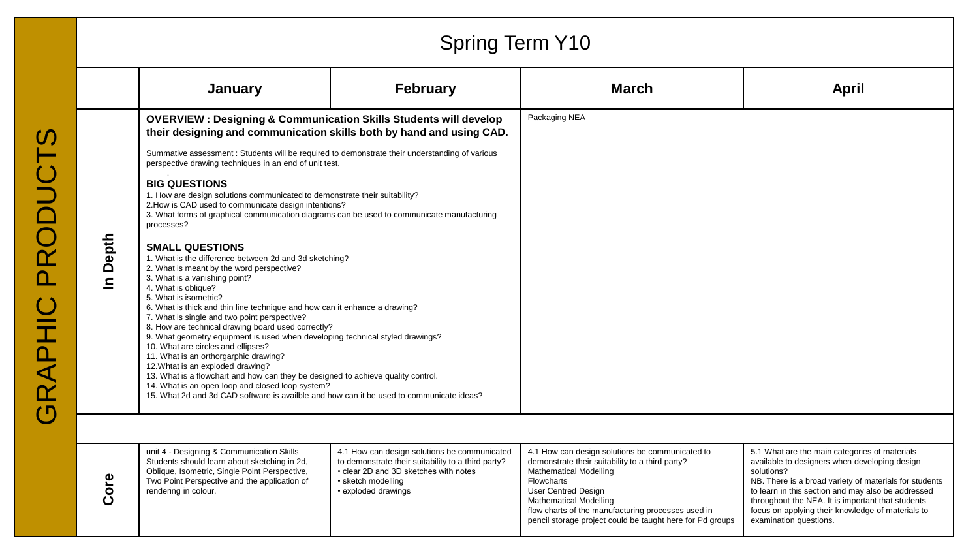|         | <b>Spring Term Y10</b>                                                                                                                                                                                                                                                                                                                                                                                                                                                                                                                                                                                                                                                                                                                                                                                                                      |                                                                                                                                                                                          |                                                                                                                                                                                                                                                                                                                                     |                                                                                                                                                                                                                                                                                                                                                                  |  |  |  |
|---------|---------------------------------------------------------------------------------------------------------------------------------------------------------------------------------------------------------------------------------------------------------------------------------------------------------------------------------------------------------------------------------------------------------------------------------------------------------------------------------------------------------------------------------------------------------------------------------------------------------------------------------------------------------------------------------------------------------------------------------------------------------------------------------------------------------------------------------------------|------------------------------------------------------------------------------------------------------------------------------------------------------------------------------------------|-------------------------------------------------------------------------------------------------------------------------------------------------------------------------------------------------------------------------------------------------------------------------------------------------------------------------------------|------------------------------------------------------------------------------------------------------------------------------------------------------------------------------------------------------------------------------------------------------------------------------------------------------------------------------------------------------------------|--|--|--|
|         | January                                                                                                                                                                                                                                                                                                                                                                                                                                                                                                                                                                                                                                                                                                                                                                                                                                     | <b>February</b>                                                                                                                                                                          | <b>March</b>                                                                                                                                                                                                                                                                                                                        | <b>April</b>                                                                                                                                                                                                                                                                                                                                                     |  |  |  |
|         | <b>OVERVIEW: Designing &amp; Communication Skills Students will develop</b><br>their designing and communication skills both by hand and using CAD.                                                                                                                                                                                                                                                                                                                                                                                                                                                                                                                                                                                                                                                                                         |                                                                                                                                                                                          | Packaging NEA                                                                                                                                                                                                                                                                                                                       |                                                                                                                                                                                                                                                                                                                                                                  |  |  |  |
|         | Summative assessment : Students will be required to demonstrate their understanding of various<br>perspective drawing techniques in an end of unit test.                                                                                                                                                                                                                                                                                                                                                                                                                                                                                                                                                                                                                                                                                    |                                                                                                                                                                                          |                                                                                                                                                                                                                                                                                                                                     |                                                                                                                                                                                                                                                                                                                                                                  |  |  |  |
| n Depth | <b>BIG QUESTIONS</b><br>1. How are design solutions communicated to demonstrate their suitability?<br>2. How is CAD used to communicate design intentions?<br>3. What forms of graphical communication diagrams can be used to communicate manufacturing<br>processes?                                                                                                                                                                                                                                                                                                                                                                                                                                                                                                                                                                      |                                                                                                                                                                                          |                                                                                                                                                                                                                                                                                                                                     |                                                                                                                                                                                                                                                                                                                                                                  |  |  |  |
|         | <b>SMALL QUESTIONS</b><br>1. What is the difference between 2d and 3d sketching?<br>2. What is meant by the word perspective?<br>3. What is a vanishing point?<br>4. What is oblique?<br>5. What is isometric?<br>6. What is thick and thin line technique and how can it enhance a drawing?<br>7. What is single and two point perspective?<br>8. How are technical drawing board used correctly?<br>9. What geometry equipment is used when developing technical styled drawings?<br>10. What are circles and ellipses?<br>11. What is an orthorgarphic drawing?<br>12. Whtat is an exploded drawing?<br>13. What is a flowchart and how can they be designed to achieve quality control.<br>14. What is an open loop and closed loop system?<br>15. What 2d and 3d CAD software is availble and how can it be used to communicate ideas? |                                                                                                                                                                                          |                                                                                                                                                                                                                                                                                                                                     |                                                                                                                                                                                                                                                                                                                                                                  |  |  |  |
|         |                                                                                                                                                                                                                                                                                                                                                                                                                                                                                                                                                                                                                                                                                                                                                                                                                                             |                                                                                                                                                                                          |                                                                                                                                                                                                                                                                                                                                     |                                                                                                                                                                                                                                                                                                                                                                  |  |  |  |
| Core    | unit 4 - Designing & Communication Skills<br>Students should learn about sketching in 2d,<br>Oblique, Isometric, Single Point Perspective,<br>Two Point Perspective and the application of<br>rendering in colour.                                                                                                                                                                                                                                                                                                                                                                                                                                                                                                                                                                                                                          | 4.1 How can design solutions be communicated<br>to demonstrate their suitability to a third party?<br>• clear 2D and 3D sketches with notes<br>• sketch modelling<br>• exploded drawings | 4.1 How can design solutions be communicated to<br>demonstrate their suitability to a third party?<br><b>Mathematical Modelling</b><br>Flowcharts<br><b>User Centred Design</b><br><b>Mathematical Modelling</b><br>flow charts of the manufacturing processes used in<br>pencil storage project could be taught here for Pd groups | 5.1 What are the main categories of materials<br>available to designers when developing design<br>solutions?<br>NB. There is a broad variety of materials for students<br>to learn in this section and may also be addressed<br>throughout the NEA. It is important that students<br>focus on applying their knowledge of materials to<br>examination questions. |  |  |  |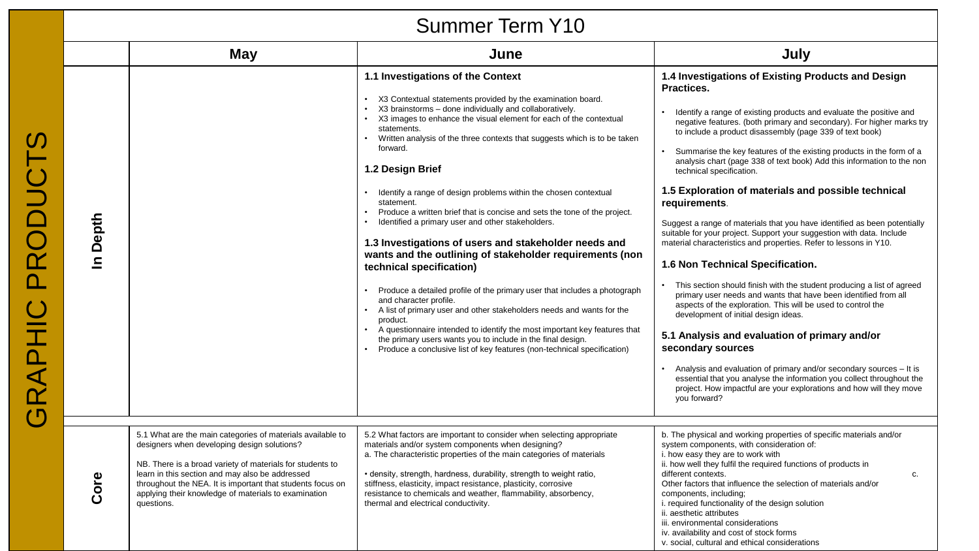|                                                                              | <b>OUTTLINGL TOTILL LTD</b> |                                                                                                                                                                                                                                                                                                                                                               |                                                                                                                                                                                                                                                                                                                                                                                                                                                                                                                                                                                                                                                                                                                                                                                                                                                                                                                                                                                                                                                                                                                                                                                                  |                                                                                                                                                                                                                                                                                                                                                                                                                                                                                                                                                                                                                                                                                                                                                                                                                                                                                                                                                                                                                                                                                                                                                                                                                                                                                                                                                                     |  |  |
|------------------------------------------------------------------------------|-----------------------------|---------------------------------------------------------------------------------------------------------------------------------------------------------------------------------------------------------------------------------------------------------------------------------------------------------------------------------------------------------------|--------------------------------------------------------------------------------------------------------------------------------------------------------------------------------------------------------------------------------------------------------------------------------------------------------------------------------------------------------------------------------------------------------------------------------------------------------------------------------------------------------------------------------------------------------------------------------------------------------------------------------------------------------------------------------------------------------------------------------------------------------------------------------------------------------------------------------------------------------------------------------------------------------------------------------------------------------------------------------------------------------------------------------------------------------------------------------------------------------------------------------------------------------------------------------------------------|---------------------------------------------------------------------------------------------------------------------------------------------------------------------------------------------------------------------------------------------------------------------------------------------------------------------------------------------------------------------------------------------------------------------------------------------------------------------------------------------------------------------------------------------------------------------------------------------------------------------------------------------------------------------------------------------------------------------------------------------------------------------------------------------------------------------------------------------------------------------------------------------------------------------------------------------------------------------------------------------------------------------------------------------------------------------------------------------------------------------------------------------------------------------------------------------------------------------------------------------------------------------------------------------------------------------------------------------------------------------|--|--|
|                                                                              |                             | <b>May</b>                                                                                                                                                                                                                                                                                                                                                    | June                                                                                                                                                                                                                                                                                                                                                                                                                                                                                                                                                                                                                                                                                                                                                                                                                                                                                                                                                                                                                                                                                                                                                                                             | July                                                                                                                                                                                                                                                                                                                                                                                                                                                                                                                                                                                                                                                                                                                                                                                                                                                                                                                                                                                                                                                                                                                                                                                                                                                                                                                                                                |  |  |
| <b>DUCT</b><br>$\bar{\bm{\alpha}}$<br>RAPHIC<br>$\mathsf{\small \textsf{f}}$ | In Depth                    |                                                                                                                                                                                                                                                                                                                                                               | 1.1 Investigations of the Context<br>• X3 Contextual statements provided by the examination board.<br>X3 brainstorms - done individually and collaboratively.<br>$\bullet$<br>X3 images to enhance the visual element for each of the contextual<br>$\bullet$<br>statements.<br>Written analysis of the three contexts that suggests which is to be taken<br>forward.<br>1.2 Design Brief<br>Identify a range of design problems within the chosen contextual<br>statement.<br>Produce a written brief that is concise and sets the tone of the project.<br>Identified a primary user and other stakeholders.<br>1.3 Investigations of users and stakeholder needs and<br>wants and the outlining of stakeholder requirements (non<br>technical specification)<br>Produce a detailed profile of the primary user that includes a photograph<br>and character profile.<br>A list of primary user and other stakeholders needs and wants for the<br>$\bullet$<br>product.<br>• A questionnaire intended to identify the most important key features that<br>the primary users wants you to include in the final design.<br>Produce a conclusive list of key features (non-technical specification) | 1.4 Investigations of Existing Products and Design<br>Practices.<br>Identify a range of existing products and evaluate the positive and<br>negative features. (both primary and secondary). For higher marks try<br>to include a product disassembly (page 339 of text book)<br>Summarise the key features of the existing products in the form of a<br>analysis chart (page 338 of text book) Add this information to the non<br>technical specification.<br>1.5 Exploration of materials and possible technical<br>requirements.<br>Suggest a range of materials that you have identified as been potentially<br>suitable for your project. Support your suggestion with data. Include<br>material characteristics and properties. Refer to lessons in Y10.<br>1.6 Non Technical Specification.<br>This section should finish with the student producing a list of agreed<br>primary user needs and wants that have been identified from all<br>aspects of the exploration. This will be used to control the<br>development of initial design ideas.<br>5.1 Analysis and evaluation of primary and/or<br>secondary sources<br>Analysis and evaluation of primary and/or secondary sources - It is<br>essential that you analyse the information you collect throughout the<br>project. How impactful are your explorations and how will they move<br>you forward? |  |  |
|                                                                              | Core                        | 5.1 What are the main categories of materials available to<br>designers when developing design solutions?<br>NB. There is a broad variety of materials for students to<br>learn in this section and may also be addressed<br>throughout the NEA. It is important that students focus on<br>applying their knowledge of materials to examination<br>questions. | 5.2 What factors are important to consider when selecting appropriate<br>materials and/or system components when designing?<br>a. The characteristic properties of the main categories of materials<br>• density, strength, hardness, durability, strength to weight ratio,<br>stiffness, elasticity, impact resistance, plasticity, corrosive<br>resistance to chemicals and weather, flammability, absorbency,<br>thermal and electrical conductivity.                                                                                                                                                                                                                                                                                                                                                                                                                                                                                                                                                                                                                                                                                                                                         | b. The physical and working properties of specific materials and/or<br>system components, with consideration of:<br>i. how easy they are to work with<br>ii. how well they fulfil the required functions of products in<br>different contexts.<br>C.<br>Other factors that influence the selection of materials and/or<br>components, including;<br>i. required functionality of the design solution<br>ii. aesthetic attributes<br>iii. environmental considerations<br>iv. availability and cost of stock forms<br>v. social, cultural and ethical considerations                                                                                                                                                                                                                                                                                                                                                                                                                                                                                                                                                                                                                                                                                                                                                                                                 |  |  |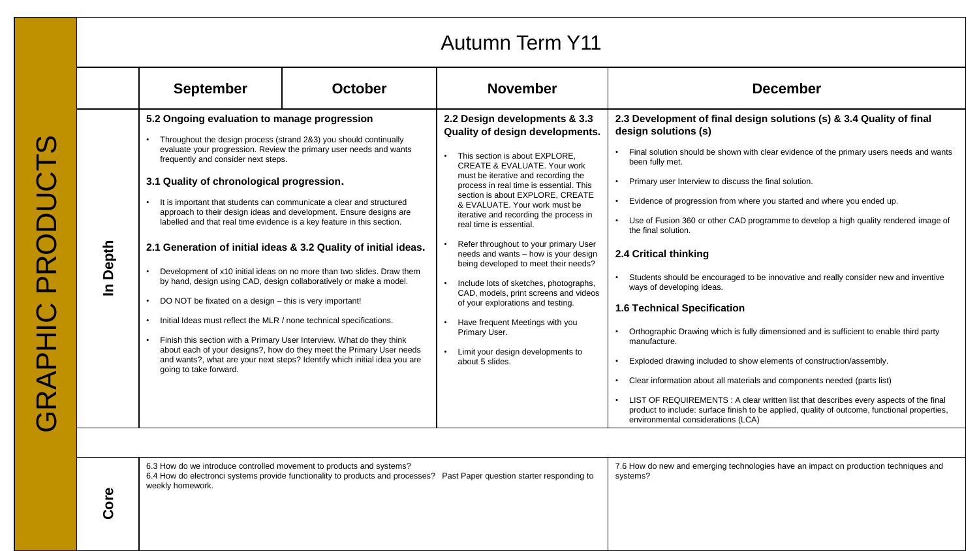### Autumn Term Y11

| 5.2 Ongoing evaluation to manage progression<br>2.2 Design developments & 3.3                                                                                                                                                                                                                                                                                                                                                                                                                                                                                                                                                                                                                                                                                                                                                                                                                                                                                                                                                                                                                                                                                                                                                                                                                                                                                                                                                                                                                                                                                                                                                                                                                                                                                                                                                                                                                                                                                                                                                                                                                                                                                                                                                                                                                                 | <b>September</b> | <b>October</b> | <b>November</b> | <b>December</b>                                                                                                                                                                                                                                                                                                                                                                                                                                                                                                                                                                                                                     |
|---------------------------------------------------------------------------------------------------------------------------------------------------------------------------------------------------------------------------------------------------------------------------------------------------------------------------------------------------------------------------------------------------------------------------------------------------------------------------------------------------------------------------------------------------------------------------------------------------------------------------------------------------------------------------------------------------------------------------------------------------------------------------------------------------------------------------------------------------------------------------------------------------------------------------------------------------------------------------------------------------------------------------------------------------------------------------------------------------------------------------------------------------------------------------------------------------------------------------------------------------------------------------------------------------------------------------------------------------------------------------------------------------------------------------------------------------------------------------------------------------------------------------------------------------------------------------------------------------------------------------------------------------------------------------------------------------------------------------------------------------------------------------------------------------------------------------------------------------------------------------------------------------------------------------------------------------------------------------------------------------------------------------------------------------------------------------------------------------------------------------------------------------------------------------------------------------------------------------------------------------------------------------------------------------------------|------------------|----------------|-----------------|-------------------------------------------------------------------------------------------------------------------------------------------------------------------------------------------------------------------------------------------------------------------------------------------------------------------------------------------------------------------------------------------------------------------------------------------------------------------------------------------------------------------------------------------------------------------------------------------------------------------------------------|
| design solutions (s)<br>Quality of design developments.<br>Throughout the design process (strand 2&3) you should continually<br>evaluate your progression. Review the primary user needs and wants<br>This section is about EXPLORE,<br>frequently and consider next steps.<br>been fully met.<br><b>CREATE &amp; EVALUATE, Your work</b><br>must be iterative and recording the<br>3.1 Quality of chronological progression.<br>Primary user Interview to discuss the final solution.<br>process in real time is essential. This<br>section is about EXPLORE, CREATE<br>Evidence of progression from where you started and where you ended up.<br>It is important that students can communicate a clear and structured<br>& EVALUATE, Your work must be<br>approach to their design ideas and development. Ensure designs are<br>iterative and recording the process in<br>labelled and that real time evidence is a key feature in this section.<br>real time is essential.<br>the final solution.<br>Refer throughout to your primary User<br>Depth<br>2.1 Generation of initial ideas & 3.2 Quality of initial ideas.<br>needs and wants - how is your design<br>2.4 Critical thinking<br>being developed to meet their needs?<br>Development of x10 initial ideas on no more than two slides. Draw them<br>by hand, design using CAD, design collaboratively or make a model.<br>Include lots of sketches, photographs,<br>$\mathbf{a}$<br>ways of developing ideas.<br>CAD, models, print screens and videos<br>DO NOT be fixated on a design – this is very important!<br>of your explorations and testing.<br><b>1.6 Technical Specification</b><br>Initial Ideas must reflect the MLR / none technical specifications.<br>Have frequent Meetings with you<br>Primary User.<br>Finish this section with a Primary User Interview. What do they think<br>manufacture.<br>about each of your designs?, how do they meet the Primary User needs<br>Limit your design developments to<br>and wants?, what are your next steps? Identify which initial idea you are<br>Exploded drawing included to show elements of construction/assembly.<br>about 5 slides.<br>going to take forward.<br>Clear information about all materials and components needed (parts list)<br>environmental considerations (LCA) |                  |                |                 | 2.3 Development of final design solutions (s) & 3.4 Quality of final<br>Final solution should be shown with clear evidence of the primary users needs and wants<br>Use of Fusion 360 or other CAD programme to develop a high quality rendered image of<br>Students should be encouraged to be innovative and really consider new and inventive<br>Orthographic Drawing which is fully dimensioned and is sufficient to enable third party<br>LIST OF REQUIREMENTS : A clear written list that describes every aspects of the final<br>product to include: surface finish to be applied, quality of outcome, functional properties, |

6.3 How do we introduce controlled movement to products and systems? 6.4 How do electronci systems provide functionality to products and processes? Past Paper question starter responding to weekly homework. 7.6 How do new and emerging technologies have an impact on production techniques and systems?

**Core**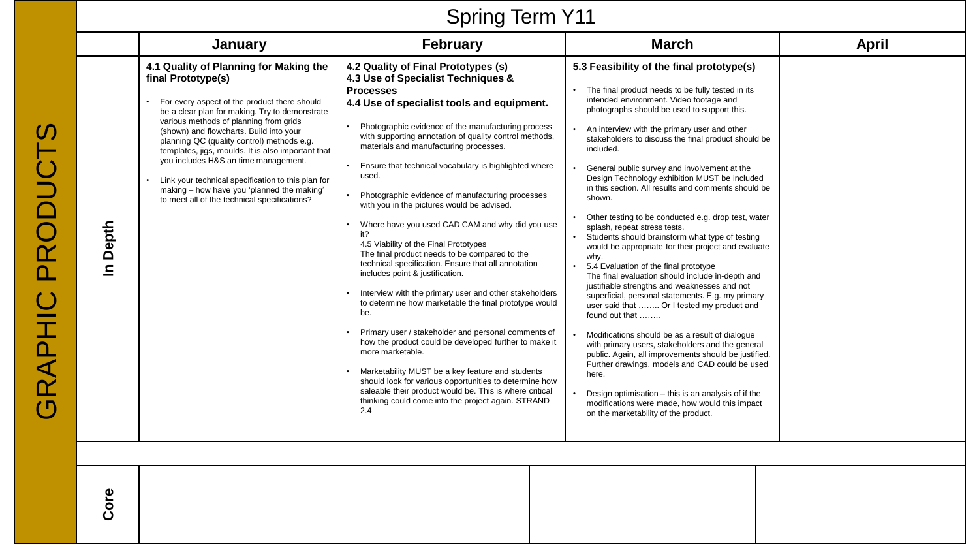# Spring Term Y11

|          | January                                                                                                                                                                                                                                                                                                                                                                                                                                                                                                                                             | <b>February</b>                                                                                                                                                                                                                                                                                                                                                                                                                                                                                                                                                                                                                                                                                                                                                                                                                                                                                                                                                                                                                                                                                                                                                                                                                          | <b>March</b>                                                                                                                                                                                                                                                                                                                                                                                                                                                                                                                                                                                                                                                                                                                                                                                                                                                                                                                                                                                                                                                                                                                                                                                                                                                                                                                         | April |
|----------|-----------------------------------------------------------------------------------------------------------------------------------------------------------------------------------------------------------------------------------------------------------------------------------------------------------------------------------------------------------------------------------------------------------------------------------------------------------------------------------------------------------------------------------------------------|------------------------------------------------------------------------------------------------------------------------------------------------------------------------------------------------------------------------------------------------------------------------------------------------------------------------------------------------------------------------------------------------------------------------------------------------------------------------------------------------------------------------------------------------------------------------------------------------------------------------------------------------------------------------------------------------------------------------------------------------------------------------------------------------------------------------------------------------------------------------------------------------------------------------------------------------------------------------------------------------------------------------------------------------------------------------------------------------------------------------------------------------------------------------------------------------------------------------------------------|--------------------------------------------------------------------------------------------------------------------------------------------------------------------------------------------------------------------------------------------------------------------------------------------------------------------------------------------------------------------------------------------------------------------------------------------------------------------------------------------------------------------------------------------------------------------------------------------------------------------------------------------------------------------------------------------------------------------------------------------------------------------------------------------------------------------------------------------------------------------------------------------------------------------------------------------------------------------------------------------------------------------------------------------------------------------------------------------------------------------------------------------------------------------------------------------------------------------------------------------------------------------------------------------------------------------------------------|-------|
| In Depth | 4.1 Quality of Planning for Making the<br>final Prototype(s)<br>For every aspect of the product there should<br>be a clear plan for making. Try to demonstrate<br>various methods of planning from grids<br>(shown) and flowcharts. Build into your<br>planning QC (quality control) methods e.g.<br>templates, jigs, moulds. It is also important that<br>you includes H&S an time management.<br>Link your technical specification to this plan for<br>making - how have you 'planned the making'<br>to meet all of the technical specifications? | 4.2 Quality of Final Prototypes (s)<br>4.3 Use of Specialist Techniques &<br><b>Processes</b><br>4.4 Use of specialist tools and equipment.<br>Photographic evidence of the manufacturing process<br>$\bullet$<br>with supporting annotation of quality control methods,<br>materials and manufacturing processes.<br>Ensure that technical vocabulary is highlighted where<br>used.<br>Photographic evidence of manufacturing processes<br>with you in the pictures would be advised.<br>Where have you used CAD CAM and why did you use<br>it?<br>4.5 Viability of the Final Prototypes<br>The final product needs to be compared to the<br>technical specification. Ensure that all annotation<br>includes point & justification.<br>Interview with the primary user and other stakeholders<br>to determine how marketable the final prototype would<br>be.<br>Primary user / stakeholder and personal comments of<br>how the product could be developed further to make it<br>more marketable.<br>Marketability MUST be a key feature and students<br>should look for various opportunities to determine how<br>saleable their product would be. This is where critical<br>thinking could come into the project again. STRAND<br>2.4 | 5.3 Feasibility of the final prototype(s)<br>The final product needs to be fully tested in its<br>intended environment. Video footage and<br>photographs should be used to support this.<br>An interview with the primary user and other<br>stakeholders to discuss the final product should be<br>included.<br>General public survey and involvement at the<br>Design Technology exhibition MUST be included<br>in this section. All results and comments should be<br>shown.<br>Other testing to be conducted e.g. drop test, water<br>splash, repeat stress tests.<br>Students should brainstorm what type of testing<br>would be appropriate for their project and evaluate<br>why.<br>5.4 Evaluation of the final prototype<br>The final evaluation should include in-depth and<br>justifiable strengths and weaknesses and not<br>superficial, personal statements. E.g. my primary<br>user said that  Or I tested my product and<br>found out that<br>Modifications should be as a result of dialogue<br>with primary users, stakeholders and the general<br>public. Again, all improvements should be justified.<br>Further drawings, models and CAD could be used<br>here.<br>Design optimisation - this is an analysis of if the<br>modifications were made, how would this impact<br>on the marketability of the product. |       |
|          |                                                                                                                                                                                                                                                                                                                                                                                                                                                                                                                                                     |                                                                                                                                                                                                                                                                                                                                                                                                                                                                                                                                                                                                                                                                                                                                                                                                                                                                                                                                                                                                                                                                                                                                                                                                                                          |                                                                                                                                                                                                                                                                                                                                                                                                                                                                                                                                                                                                                                                                                                                                                                                                                                                                                                                                                                                                                                                                                                                                                                                                                                                                                                                                      |       |
| ore<br>ت |                                                                                                                                                                                                                                                                                                                                                                                                                                                                                                                                                     |                                                                                                                                                                                                                                                                                                                                                                                                                                                                                                                                                                                                                                                                                                                                                                                                                                                                                                                                                                                                                                                                                                                                                                                                                                          |                                                                                                                                                                                                                                                                                                                                                                                                                                                                                                                                                                                                                                                                                                                                                                                                                                                                                                                                                                                                                                                                                                                                                                                                                                                                                                                                      |       |